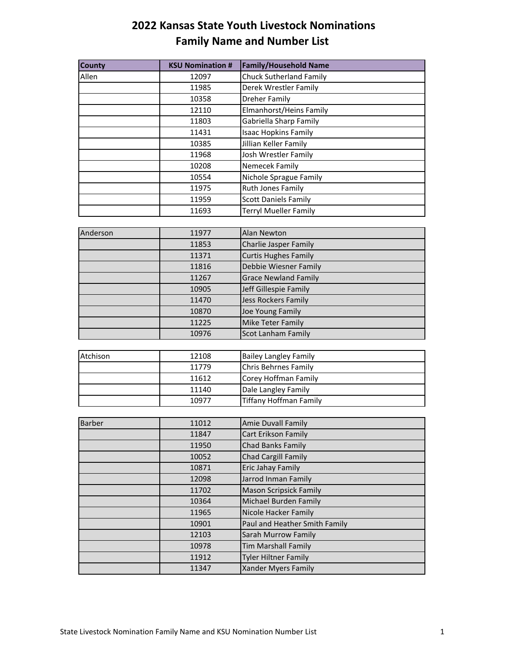| <b>County</b> | <b>KSU Nomination #</b> | <b>Family/Household Name</b>   |
|---------------|-------------------------|--------------------------------|
| Allen         | 12097                   | <b>Chuck Sutherland Family</b> |
|               | 11985                   | Derek Wrestler Family          |
|               | 10358                   | <b>Dreher Family</b>           |
|               | 12110                   | Elmanhorst/Heins Family        |
|               | 11803                   | Gabriella Sharp Family         |
|               | 11431                   | <b>Isaac Hopkins Family</b>    |
|               | 10385                   | Jillian Keller Family          |
|               | 11968                   | Josh Wrestler Family           |
|               | 10208                   | Nemecek Family                 |
|               | 10554                   | Nichole Sprague Family         |
|               | 11975                   | Ruth Jones Family              |
|               | 11959                   | <b>Scott Daniels Family</b>    |
|               | 11693                   | <b>Terryl Mueller Family</b>   |
|               |                         |                                |
| Anderson      | 11977                   | <b>Alan Newton</b>             |
|               | 11853                   | Charlie Jasper Family          |
|               | 11371                   | <b>Curtis Hughes Family</b>    |
|               | 11816                   | Debbie Wiesner Family          |
|               | 11267                   | <b>Grace Newland Family</b>    |
|               | 10905                   | Jeff Gillespie Family          |
|               | 11470                   | Jess Rockers Family            |
|               | 10870                   | Joe Young Family               |
|               | 11225                   | Mike Teter Family              |
|               | 10976                   | <b>Scot Lanham Family</b>      |
|               |                         |                                |
| Atchison      | 12108                   | <b>Bailey Langley Family</b>   |
|               | 11779                   | Chris Behrnes Family           |
|               | 11612                   | Corey Hoffman Family           |
|               | 11140                   | Dale Langley Family            |
|               | 10977                   | Tiffany Hoffman Family         |
|               |                         |                                |
| <b>Barber</b> | 11012                   | Amie Duvall Family             |
|               | 11847                   | Cart Erikson Family            |
|               | 11950                   | Chad Banks Family              |
|               | 10052                   | Chad Cargill Family            |
|               | 10871                   | Eric Jahay Family              |
|               | 12098                   | Jarrod Inman Family            |
|               | 11702                   | <b>Mason Scripsick Family</b>  |
|               | 10364                   | Michael Burden Family          |
|               | 11965                   | Nicole Hacker Family           |
|               | 10901                   | Paul and Heather Smith Family  |
|               | 12103                   | Sarah Murrow Family            |
|               | 10978                   | Tim Marshall Family            |
|               | 11912                   | <b>Tyler Hiltner Family</b>    |
|               | 11347                   | Xander Myers Family            |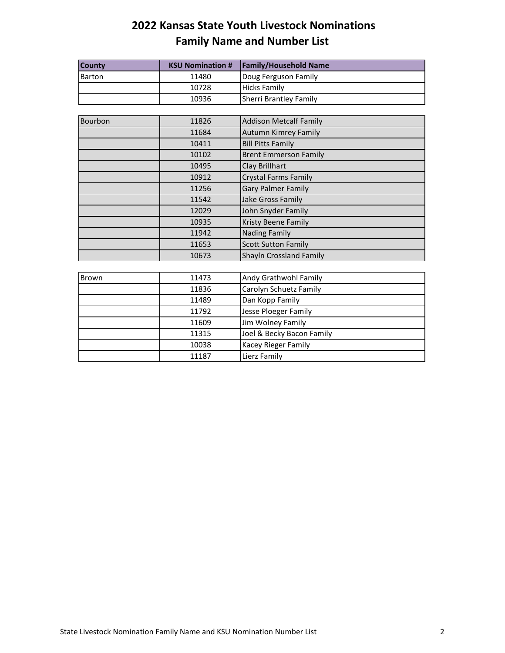| <b>County</b> | <b>KSU Nomination #</b> | <b>Family/Household Name</b> |
|---------------|-------------------------|------------------------------|
| <b>Barton</b> | 11480                   | Doug Ferguson Family         |
|               | 10728                   | <b>Hicks Family</b>          |
|               | 10936                   | Sherri Brantley Family       |

| Bourbon | 11826 | <b>Addison Metcalf Family</b> |
|---------|-------|-------------------------------|
|         | 11684 | Autumn Kimrey Family          |
|         | 10411 | <b>Bill Pitts Family</b>      |
|         | 10102 | <b>Brent Emmerson Family</b>  |
|         | 10495 | <b>Clay Brillhart</b>         |
|         | 10912 | <b>Crystal Farms Family</b>   |
|         | 11256 | <b>Gary Palmer Family</b>     |
|         | 11542 | Jake Gross Family             |
|         | 12029 | John Snyder Family            |
|         | 10935 | <b>Kristy Beene Family</b>    |
|         | 11942 | <b>Nading Family</b>          |
|         | 11653 | <b>Scott Sutton Family</b>    |
|         | 10673 | Shayln Crossland Family       |

| Brown | 11473 | Andy Grathwohl Family      |
|-------|-------|----------------------------|
|       | 11836 | Carolyn Schuetz Family     |
|       | 11489 | Dan Kopp Family            |
|       | 11792 | Jesse Ploeger Family       |
|       | 11609 | Jim Wolney Family          |
|       | 11315 | Joel & Becky Bacon Family  |
|       | 10038 | <b>Kacey Rieger Family</b> |
|       | 11187 | Lierz Family               |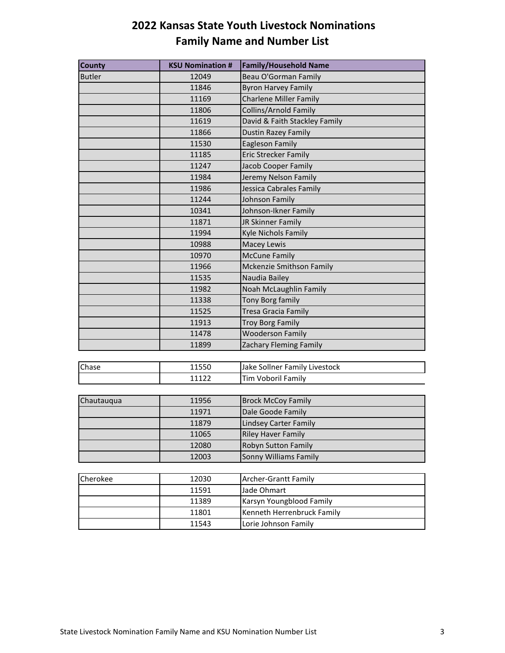| <b>County</b> | <b>KSU Nomination #</b> | <b>Family/Household Name</b>  |
|---------------|-------------------------|-------------------------------|
| <b>Butler</b> | 12049                   | Beau O'Gorman Family          |
|               | 11846                   | <b>Byron Harvey Family</b>    |
|               | 11169                   | <b>Charlene Miller Family</b> |
|               | 11806                   | Collins/Arnold Family         |
|               | 11619                   | David & Faith Stackley Family |
|               | 11866                   | <b>Dustin Razey Family</b>    |
|               | 11530                   | Eagleson Family               |
|               | 11185                   | <b>Eric Strecker Family</b>   |
|               | 11247                   | Jacob Cooper Family           |
|               | 11984                   | Jeremy Nelson Family          |
|               | 11986                   | Jessica Cabrales Family       |
|               | 11244                   | Johnson Family                |
|               | 10341                   | Johnson-Ikner Family          |
|               | 11871                   | JR Skinner Family             |
|               | 11994                   | Kyle Nichols Family           |
|               | 10988                   | <b>Macey Lewis</b>            |
|               | 10970                   | <b>McCune Family</b>          |
|               | 11966                   | Mckenzie Smithson Family      |
|               | 11535                   | Naudia Bailey                 |
|               | 11982                   | Noah McLaughlin Family        |
|               | 11338                   | <b>Tony Borg family</b>       |
|               | 11525                   | Tresa Gracia Family           |
|               | 11913                   | <b>Troy Borg Family</b>       |
|               | 11478                   | <b>Wooderson Family</b>       |
|               | 11899                   | Zachary Fleming Family        |
|               |                         |                               |
| Chase         | 11550                   | Jake Sollner Family Livestock |
|               | 11122                   | Tim Voboril Family            |
|               |                         |                               |
| Chautauqua    | 11956                   | <b>Brock McCoy Family</b>     |
|               | 11971                   | Dale Goode Family             |
|               | 11879                   | <b>Lindsey Carter Family</b>  |
|               | 11065                   | <b>Riley Haver Family</b>     |
|               | 12080                   | Robyn Sutton Family           |
|               | 12003                   | Sonny Williams Family         |
|               |                         |                               |
| Cherokee      | 12030                   | Archer-Grantt Family          |
|               | 11591                   | Jade Ohmart                   |
|               | 11389                   | Karsyn Youngblood Family      |
|               | 11801                   | Kenneth Herrenbruck Family    |
|               | 11543                   | Lorie Johnson Family          |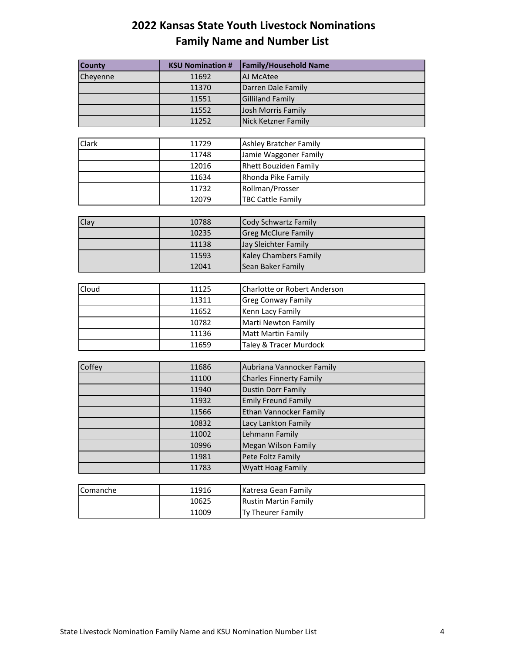| <b>County</b> | <b>KSU Nomination #</b> | <b>Family/Household Name</b>   |
|---------------|-------------------------|--------------------------------|
| Cheyenne      | 11692                   | AJ McAtee                      |
|               | 11370                   | Darren Dale Family             |
|               | 11551                   | <b>Gilliland Family</b>        |
|               | 11552                   | <b>Josh Morris Family</b>      |
|               | 11252                   | Nick Ketzner Family            |
|               |                         |                                |
| Clark         | 11729                   | Ashley Bratcher Family         |
|               | 11748                   | Jamie Waggoner Family          |
|               | 12016                   | Rhett Bouziden Family          |
|               | 11634                   | Rhonda Pike Family             |
|               | 11732                   | Rollman/Prosser                |
|               | 12079                   | <b>TBC Cattle Family</b>       |
|               |                         |                                |
| Clay          | 10788                   | Cody Schwartz Family           |
|               | 10235                   | <b>Greg McClure Family</b>     |
|               | 11138                   | Jay Sleichter Family           |
|               | 11593                   | <b>Kaley Chambers Family</b>   |
|               | 12041                   | Sean Baker Family              |
|               |                         |                                |
| Cloud         | 11125                   | Charlotte or Robert Anderson   |
|               | 11311                   | <b>Greg Conway Family</b>      |
|               | 11652                   | Kenn Lacy Family               |
|               | 10782                   | Marti Newton Family            |
|               | 11136                   | <b>Matt Martin Family</b>      |
|               | 11659                   | Taley & Tracer Murdock         |
|               |                         |                                |
| Coffey        | 11686                   | Aubriana Vannocker Family      |
|               | 11100                   | <b>Charles Finnerty Family</b> |
|               | 11940                   | <b>Dustin Dorr Family</b>      |
|               | 11932                   | <b>Emily Freund Family</b>     |
|               | 11566                   | Ethan Vannocker Family         |
|               | 10832                   | Lacy Lankton Family            |
|               | 11002                   | Lehmann Family                 |
|               | 10996                   | <b>Megan Wilson Family</b>     |
|               | 11981                   | Pete Foltz Family              |
|               | 11783                   | <b>Wyatt Hoag Family</b>       |
|               |                         |                                |
| Comanche      | 11916                   | Katresa Gean Family            |
|               | 10625                   | <b>Rustin Martin Family</b>    |
|               | 11009                   | Ty Theurer Family              |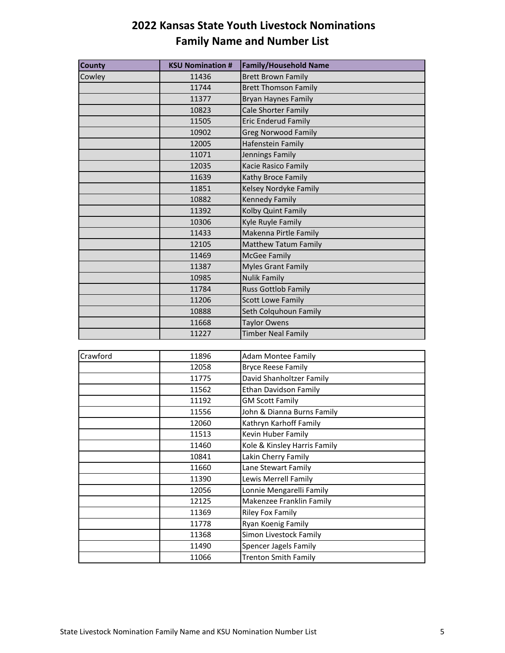| <b>KSU Nomination #</b> | <b>Family/Household Name</b> |
|-------------------------|------------------------------|
| 11436                   | <b>Brett Brown Family</b>    |
| 11744                   | <b>Brett Thomson Family</b>  |
| 11377                   | <b>Bryan Haynes Family</b>   |
| 10823                   | Cale Shorter Family          |
| 11505                   | <b>Eric Enderud Family</b>   |
| 10902                   | <b>Greg Norwood Family</b>   |
| 12005                   | Hafenstein Family            |
| 11071                   | Jennings Family              |
| 12035                   | Kacie Rasico Family          |
| 11639                   | Kathy Broce Family           |
| 11851                   | Kelsey Nordyke Family        |
| 10882                   | <b>Kennedy Family</b>        |
| 11392                   | Kolby Quint Family           |
| 10306                   | Kyle Ruyle Family            |
| 11433                   | Makenna Pirtle Family        |
| 12105                   | <b>Matthew Tatum Family</b>  |
| 11469                   | <b>McGee Family</b>          |
| 11387                   | <b>Myles Grant Family</b>    |
| 10985                   | <b>Nulik Family</b>          |
| 11784                   | Russ Gottlob Family          |
| 11206                   | <b>Scott Lowe Family</b>     |
| 10888                   | Seth Colquhoun Family        |
| 11668                   | <b>Taylor Owens</b>          |
| 11227                   | <b>Timber Neal Family</b>    |
|                         |                              |

| Crawford | 11896 | <b>Adam Montee Family</b>    |
|----------|-------|------------------------------|
|          | 12058 | <b>Bryce Reese Family</b>    |
|          | 11775 | David Shanholtzer Family     |
|          | 11562 | Ethan Davidson Family        |
|          | 11192 | <b>GM Scott Family</b>       |
|          | 11556 | John & Dianna Burns Family   |
|          | 12060 | Kathryn Karhoff Family       |
|          | 11513 | Kevin Huber Family           |
|          | 11460 | Kole & Kinsley Harris Family |
|          | 10841 | Lakin Cherry Family          |
|          | 11660 | Lane Stewart Family          |
|          | 11390 | Lewis Merrell Family         |
|          | 12056 | Lonnie Mengarelli Family     |
|          | 12125 | Makenzee Franklin Family     |
|          | 11369 | <b>Riley Fox Family</b>      |
|          | 11778 | Ryan Koenig Family           |
|          | 11368 | Simon Livestock Family       |
|          | 11490 | <b>Spencer Jagels Family</b> |
|          | 11066 | <b>Trenton Smith Family</b>  |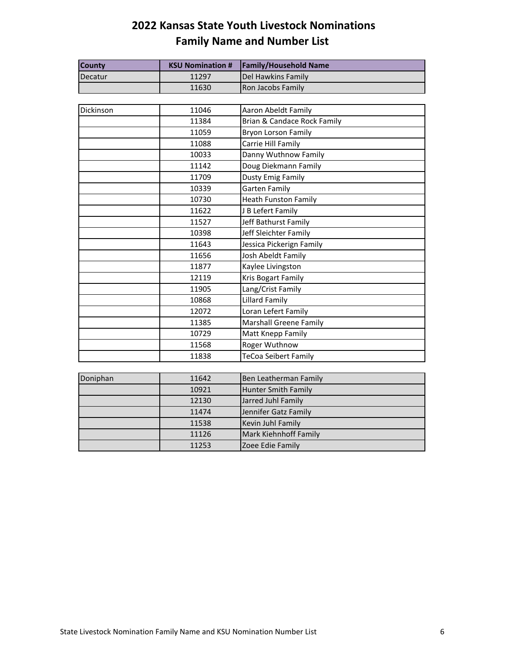| <b>County</b> | <b>KSU Nomination #</b> | <b>Family/Household Name</b>  |
|---------------|-------------------------|-------------------------------|
| Decatur       | 11297                   | Del Hawkins Family            |
|               | 11630                   | Ron Jacobs Family             |
|               |                         |                               |
| Dickinson     | 11046                   | Aaron Abeldt Family           |
|               | 11384                   | Brian & Candace Rock Family   |
|               | 11059                   | <b>Bryon Lorson Family</b>    |
|               | 11088                   | Carrie Hill Family            |
|               | 10033                   | Danny Wuthnow Family          |
|               | 11142                   | Doug Diekmann Family          |
|               | 11709                   | Dusty Emig Family             |
|               | 10339                   | Garten Family                 |
|               | 10730                   | <b>Heath Funston Family</b>   |
|               | 11622                   | J B Lefert Family             |
|               | 11527                   | Jeff Bathurst Family          |
|               | 10398                   | Jeff Sleichter Family         |
|               | 11643                   | Jessica Pickerign Family      |
|               | 11656                   | Josh Abeldt Family            |
|               | 11877                   | Kaylee Livingston             |
|               | 12119                   | <b>Kris Bogart Family</b>     |
|               | 11905                   | Lang/Crist Family             |
|               | 10868                   | <b>Lillard Family</b>         |
|               | 12072                   | Loran Lefert Family           |
|               | 11385                   | <b>Marshall Greene Family</b> |
|               | 10729                   | Matt Knepp Family             |
|               | 11568                   | Roger Wuthnow                 |
|               | 11838                   | <b>TeCoa Seibert Family</b>   |
|               |                         |                               |
| Doniphan      | 11642                   | Ben Leatherman Family         |
|               | 10921                   | <b>Hunter Smith Family</b>    |
|               | 12130                   | Jarred Juhl Family            |
|               | 11474                   | Jennifer Gatz Family          |

11538 Kevin Juhl Family Mark Kiehnhoff Family 11253 Zoee Edie Family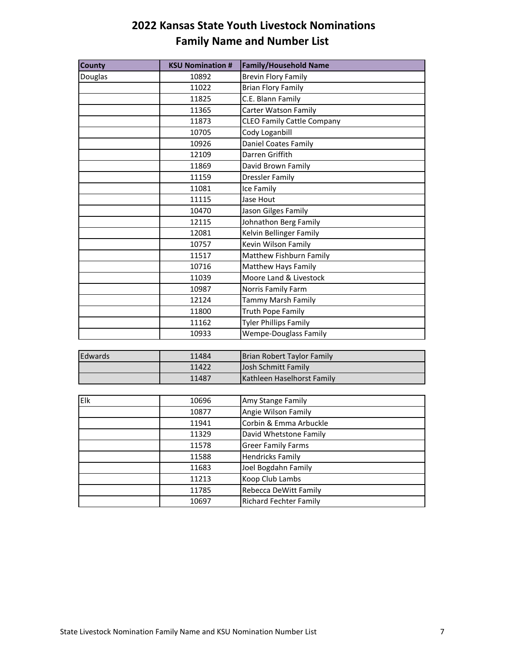| <b>County</b> | <b>KSU Nomination #</b> | <b>Family/Household Name</b>      |
|---------------|-------------------------|-----------------------------------|
| Douglas       | 10892                   | <b>Brevin Flory Family</b>        |
|               | 11022                   | <b>Brian Flory Family</b>         |
|               | 11825                   | C.E. Blann Family                 |
|               | 11365                   | Carter Watson Family              |
|               | 11873                   | <b>CLEO Family Cattle Company</b> |
|               | 10705                   | Cody Loganbill                    |
|               | 10926                   | Daniel Coates Family              |
|               | 12109                   | Darren Griffith                   |
|               | 11869                   | David Brown Family                |
|               | 11159                   | <b>Dressler Family</b>            |
|               | 11081                   | Ice Family                        |
|               | 11115                   | Jase Hout                         |
|               | 10470                   | Jason Gilges Family               |
|               | 12115                   | Johnathon Berg Family             |
|               | 12081                   | Kelvin Bellinger Family           |
|               | 10757                   | Kevin Wilson Family               |
|               | 11517                   | Matthew Fishburn Family           |
|               | 10716                   | Matthew Hays Family               |
|               | 11039                   | Moore Land & Livestock            |
|               | 10987                   | Norris Family Farm                |
|               | 12124                   | Tammy Marsh Family                |
|               | 11800                   | <b>Truth Pope Family</b>          |
|               | 11162                   | <b>Tyler Phillips Family</b>      |
|               | 10933                   | <b>Wempe-Douglass Family</b>      |
|               |                         |                                   |
| Edwards       | 11484                   | <b>Brian Robert Taylor Family</b> |
|               | 11422                   | Josh Schmitt Family               |
|               | 11487                   | Kathleen Haselhorst Family        |
|               |                         |                                   |
| Elk           | 10696                   | Amy Stange Family                 |
|               | 10877                   | Angie Wilson Family               |
|               | 11941                   | Corbin & Emma Arbuckle            |
|               | 11329                   | David Whetstone Family            |
|               | 11578                   | <b>Greer Family Farms</b>         |
|               | 11588                   | <b>Hendricks Family</b>           |
|               | 11683                   | Joel Bogdahn Family               |
|               | 11213                   | Koop Club Lambs                   |
|               | 11785                   | Rebecca DeWitt Family             |
|               | 10697                   | <b>Richard Fechter Family</b>     |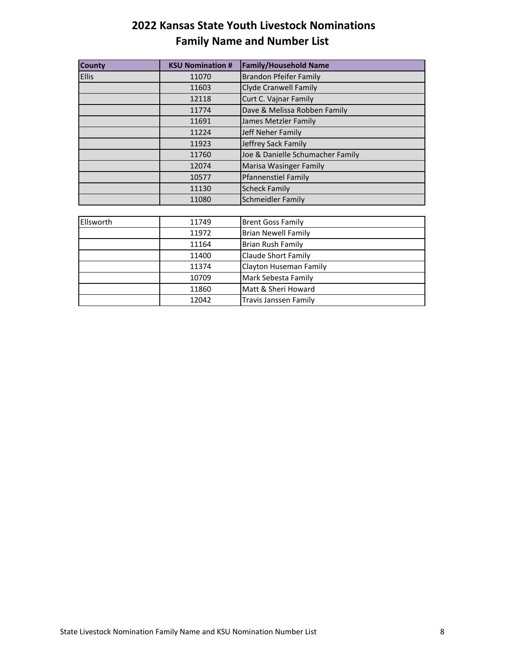| <b>County</b> | <b>KSU Nomination #</b> | <b>Family/Household Name</b>     |
|---------------|-------------------------|----------------------------------|
| <b>Ellis</b>  | 11070                   | <b>Brandon Pfeifer Family</b>    |
|               | 11603                   | Clyde Cranwell Family            |
|               | 12118                   | Curt C. Vajnar Family            |
|               | 11774                   | Dave & Melissa Robben Family     |
|               | 11691                   | James Metzler Family             |
|               | 11224                   | Jeff Neher Family                |
|               | 11923                   | Jeffrey Sack Family              |
|               | 11760                   | Joe & Danielle Schumacher Family |
|               | 12074                   | Marisa Wasinger Family           |
|               | 10577                   | <b>Pfannenstiel Family</b>       |
|               | 11130                   | <b>Scheck Family</b>             |
|               | 11080                   | Schmeidler Family                |
|               |                         |                                  |
| Ellsworth     | 11749                   | <b>Brent Goss Family</b>         |
|               | 11972                   | <b>Brian Newell Family</b>       |
|               | 11164                   | <b>Brian Rush Family</b>         |
|               | 11400                   | <b>Claude Short Family</b>       |
|               | 11374                   | Clayton Huseman Family           |

Mark Sebesta Family

11860 Matt & Sheri Howard<br>12042 Travis Janssen Family

**Travis Janssen Family**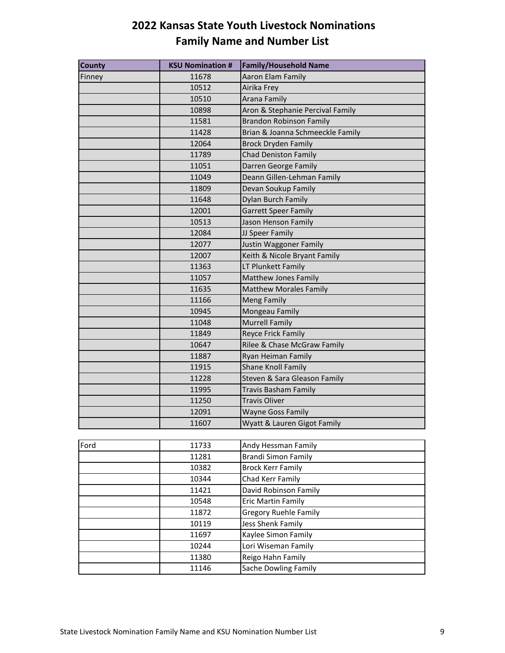| <b>County</b> | <b>KSU Nomination #</b> | <b>Family/Household Name</b>     |
|---------------|-------------------------|----------------------------------|
| Finney        | 11678                   | Aaron Elam Family                |
|               | 10512                   | Airika Frey                      |
|               | 10510                   | Arana Family                     |
|               | 10898                   | Aron & Stephanie Percival Family |
|               | 11581                   | <b>Brandon Robinson Family</b>   |
|               | 11428                   | Brian & Joanna Schmeeckle Family |
|               | 12064                   | <b>Brock Dryden Family</b>       |
|               | 11789                   | <b>Chad Deniston Family</b>      |
|               | 11051                   | Darren George Family             |
|               | 11049                   | Deann Gillen-Lehman Family       |
|               | 11809                   | Devan Soukup Family              |
|               | 11648                   | Dylan Burch Family               |
|               | 12001                   | <b>Garrett Speer Family</b>      |
|               | 10513                   | Jason Henson Family              |
|               | 12084                   | JJ Speer Family                  |
|               | 12077                   | Justin Waggoner Family           |
|               | 12007                   | Keith & Nicole Bryant Family     |
|               | 11363                   | LT Plunkett Family               |
|               | 11057                   | Matthew Jones Family             |
|               | 11635                   | <b>Matthew Morales Family</b>    |
|               | 11166                   | <b>Meng Family</b>               |
|               | 10945                   | Mongeau Family                   |
|               | 11048                   | <b>Murrell Family</b>            |
|               | 11849                   | <b>Reyce Frick Family</b>        |
|               | 10647                   | Rilee & Chase McGraw Family      |
|               | 11887                   | Ryan Heiman Family               |
|               | 11915                   | Shane Knoll Family               |
|               | 11228                   | Steven & Sara Gleason Family     |
|               | 11995                   | Travis Basham Family             |
|               | 11250                   | <b>Travis Oliver</b>             |
|               | 12091                   | <b>Wayne Goss Family</b>         |
|               | 11607                   | Wyatt & Lauren Gigot Family      |
|               |                         |                                  |
| Ford          | 11733                   | Andy Hessman Family              |
|               | 11281                   | <b>Brandi Simon Family</b>       |
|               | 10382                   | <b>Brock Kerr Family</b>         |
|               | 10344                   | Chad Kerr Family                 |
|               | 11421                   | David Robinson Family            |
|               | 10548                   | <b>Eric Martin Family</b>        |
|               | 11872                   | <b>Gregory Ruehle Family</b>     |
|               | 10119                   | Jess Shenk Family                |
|               | 11697                   | Kavlee Simon Family              |

| David Robinson Family<br>11421        |
|---------------------------------------|
| <b>Eric Martin Family</b><br>10548    |
| <b>Gregory Ruehle Family</b><br>11872 |
| <b>Jess Shenk Family</b><br>10119     |
| Kaylee Simon Family<br>11697          |
| Lori Wiseman Family<br>10244          |
| Reigo Hahn Family<br>11380            |
| 11146<br>Sache Dowling Family         |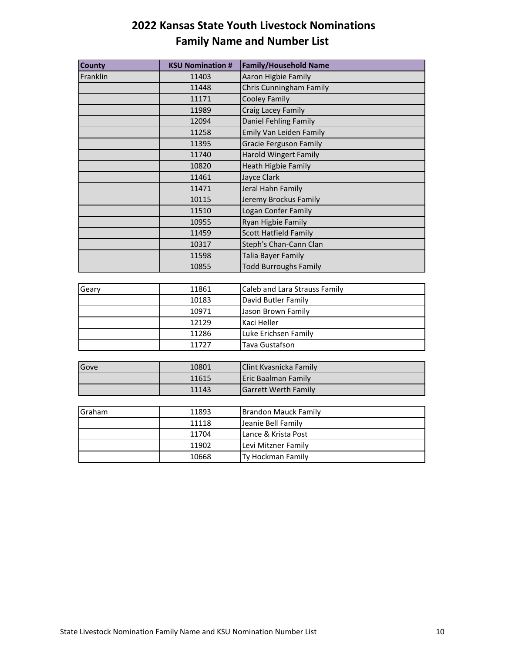| <b>County</b> | <b>KSU Nomination #</b> | <b>Family/Household Name</b>  |
|---------------|-------------------------|-------------------------------|
| Franklin      | 11403                   | Aaron Higbie Family           |
|               | 11448                   | Chris Cunningham Family       |
|               | 11171                   | <b>Cooley Family</b>          |
|               | 11989                   | Craig Lacey Family            |
|               | 12094                   | Daniel Fehling Family         |
|               | 11258                   | Emily Van Leiden Family       |
|               | 11395                   | <b>Gracie Ferguson Family</b> |
|               | 11740                   | <b>Harold Wingert Family</b>  |
|               | 10820                   | <b>Heath Higbie Family</b>    |
|               | 11461                   | Jayce Clark                   |
|               | 11471                   | Jeral Hahn Family             |
|               | 10115                   | Jeremy Brockus Family         |
|               | 11510                   | Logan Confer Family           |
|               | 10955                   | Ryan Higbie Family            |
|               | 11459                   | Scott Hatfield Family         |
|               | 10317                   | Steph's Chan-Cann Clan        |
|               | 11598                   | Talia Bayer Family            |
|               | 10855                   | <b>Todd Burroughs Family</b>  |
|               |                         |                               |
| Geary         | 11861                   | Caleb and Lara Strauss Family |
|               | 10183                   | David Butler Family           |
|               | 10971                   | Jason Brown Family            |
|               | 12129                   | Kaci Heller                   |
|               | 11286                   | Luke Erichsen Family          |
|               | 11727                   | Tava Gustafson                |
|               |                         |                               |
| Gove          | 10801                   | Clint Kvasnicka Family        |
|               | 11615                   | Eric Baalman Family           |
|               | 11143                   | <b>Garrett Werth Family</b>   |
|               |                         |                               |
| Graham        | 11893                   | <b>Brandon Mauck Family</b>   |
|               | 11118                   | Jeanie Bell Family            |
|               | 11704                   | Lance & Krista Post           |
|               | 11902                   | Levi Mitzner Family           |
|               | 10668                   | Ty Hockman Family             |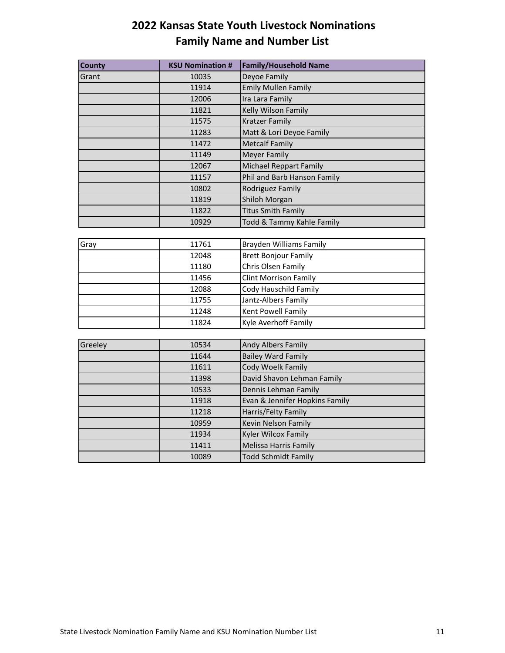| <b>County</b> | <b>KSU Nomination #</b> | <b>Family/Household Name</b>   |
|---------------|-------------------------|--------------------------------|
| Grant         | 10035                   | Deyoe Family                   |
|               | 11914                   | <b>Emily Mullen Family</b>     |
|               | 12006                   | Ira Lara Family                |
|               | 11821                   | Kelly Wilson Family            |
|               | 11575                   | <b>Kratzer Family</b>          |
|               | 11283                   | Matt & Lori Deyoe Family       |
|               | 11472                   | <b>Metcalf Family</b>          |
|               | 11149                   | <b>Meyer Family</b>            |
|               | 12067                   | Michael Reppart Family         |
|               | 11157                   | Phil and Barb Hanson Family    |
|               | 10802                   | Rodriguez Family               |
|               | 11819                   | Shiloh Morgan                  |
|               | 11822                   | <b>Titus Smith Family</b>      |
|               | 10929                   | Todd & Tammy Kahle Family      |
|               |                         |                                |
| Gray          | 11761                   | Brayden Williams Family        |
|               | 12048                   | <b>Brett Bonjour Family</b>    |
|               | 11180                   | Chris Olsen Family             |
|               | 11456                   | <b>Clint Morrison Family</b>   |
|               | 12088                   | Cody Hauschild Family          |
|               | 11755                   | Jantz-Albers Family            |
|               | 11248                   | Kent Powell Family             |
|               | 11824                   | Kyle Averhoff Family           |
|               |                         |                                |
| Greeley       | 10534                   | <b>Andy Albers Family</b>      |
|               | 11644                   | <b>Bailey Ward Family</b>      |
|               | 11611                   | Cody Woelk Family              |
|               | 11398                   | David Shavon Lehman Family     |
|               | 10533                   | Dennis Lehman Family           |
|               | 11918                   | Evan & Jennifer Hopkins Family |
|               | 11218                   | Harris/Felty Family            |
|               | 10959                   | Kevin Nelson Family            |
|               | 11934                   | Kyler Wilcox Family            |
|               | 11411                   | Melissa Harris Family          |
|               | 10089                   | <b>Todd Schmidt Family</b>     |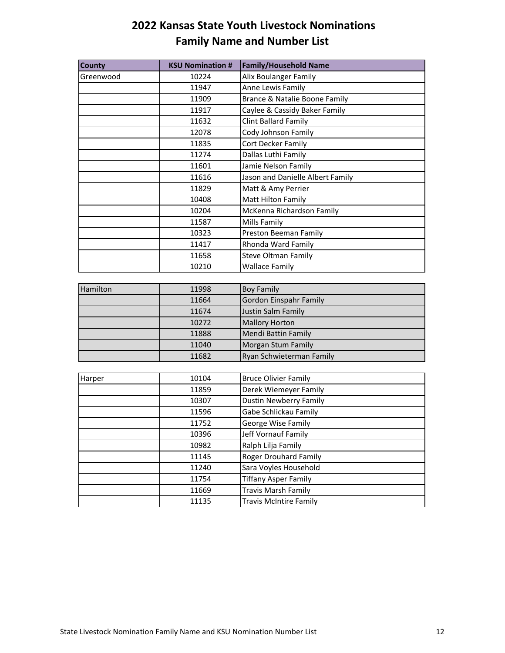| <b>County</b> | <b>KSU Nomination #</b> | <b>Family/Household Name</b>     |
|---------------|-------------------------|----------------------------------|
| Greenwood     | 10224                   | <b>Alix Boulanger Family</b>     |
|               | 11947                   | Anne Lewis Family                |
|               | 11909                   | Brance & Natalie Boone Family    |
|               | 11917                   | Caylee & Cassidy Baker Family    |
|               | 11632                   | Clint Ballard Family             |
|               | 12078                   | Cody Johnson Family              |
|               | 11835                   | Cort Decker Family               |
|               | 11274                   | Dallas Luthi Family              |
|               | 11601                   | Jamie Nelson Family              |
|               | 11616                   | Jason and Danielle Albert Family |
|               | 11829                   | Matt & Amy Perrier               |
|               | 10408                   | Matt Hilton Family               |
|               | 10204                   | McKenna Richardson Family        |
|               | 11587                   | <b>Mills Family</b>              |
|               | 10323                   | Preston Beeman Family            |
|               | 11417                   | Rhonda Ward Family               |
|               | 11658                   | <b>Steve Oltman Family</b>       |
|               | 10210                   | <b>Wallace Family</b>            |
|               |                         |                                  |
| Hamilton      | 11998                   | <b>Boy Family</b>                |
|               | 11664                   | Gordon Einspahr Family           |
|               | 11674                   | Justin Salm Family               |
|               | 10272                   | <b>Mallory Horton</b>            |
|               | 11888                   | Mendi Battin Family              |
|               | 11040                   | Morgan Stum Family               |
|               | 11682                   | Ryan Schwieterman Family         |
|               |                         |                                  |
| Harper        | 10104                   | <b>Bruce Olivier Family</b>      |
|               | 11859                   | Derek Wiemeyer Family            |
|               | 10307                   | <b>Dustin Newberry Family</b>    |
|               | 11596                   | Gabe Schlickau Family            |
|               | 11752                   | George Wise Family               |
|               | 10396                   | Jeff Vornauf Family              |
|               | 10982                   | Ralph Lilja Family               |
|               | 11145                   | <b>Roger Drouhard Family</b>     |
|               | 11240                   | Sara Voyles Household            |
|               | 11754                   | <b>Tiffany Asper Family</b>      |
|               | 11669                   | <b>Travis Marsh Family</b>       |
|               | 11135                   | <b>Travis McIntire Family</b>    |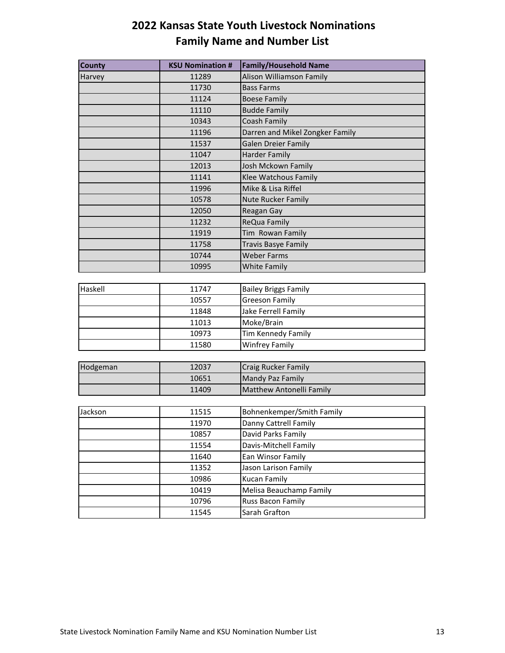| <b>County</b> | <b>KSU Nomination #</b> | <b>Family/Household Name</b>    |
|---------------|-------------------------|---------------------------------|
| Harvey        | 11289                   | Alison Williamson Family        |
|               | 11730                   | <b>Bass Farms</b>               |
|               | 11124                   | <b>Boese Family</b>             |
|               | 11110                   | <b>Budde Family</b>             |
|               | 10343                   | Coash Family                    |
|               | 11196                   | Darren and Mikel Zongker Family |
|               | 11537                   | <b>Galen Dreier Family</b>      |
|               | 11047                   | <b>Harder Family</b>            |
|               | 12013                   | Josh Mckown Family              |
|               | 11141                   | Klee Watchous Family            |
|               | 11996                   | Mike & Lisa Riffel              |
|               | 10578                   | <b>Nute Rucker Family</b>       |
|               | 12050                   | Reagan Gay                      |
|               | 11232                   | ReQua Family                    |
|               | 11919                   | Tim Rowan Family                |
|               | 11758                   | <b>Travis Basye Family</b>      |
|               | 10744                   | <b>Weber Farms</b>              |
|               | 10995                   | <b>White Family</b>             |
|               |                         |                                 |
| Haskell       | 11747                   | <b>Bailey Briggs Family</b>     |
|               | 10557                   | <b>Greeson Family</b>           |
|               | 11848                   | Jake Ferrell Family             |
|               | 11013                   | Moke/Brain                      |
|               | 10973                   | Tim Kennedy Family              |
|               | 11580                   | <b>Winfrey Family</b>           |
|               |                         |                                 |
| Hodgeman      | 12037                   | Craig Rucker Family             |
|               | 10651                   | Mandy Paz Family                |
|               | 11409                   | Matthew Antonelli Family        |
|               |                         |                                 |
| Jackson       | 11515                   | Bohnenkemper/Smith Family       |
|               | 11970                   | Danny Cattrell Family           |
|               | 10857                   | David Parks Family              |
|               | 11554                   | Davis-Mitchell Family           |
|               | 11640                   | Ean Winsor Family               |
|               | 11352                   | Jason Larison Family            |
|               | 10986                   | <b>Kucan Family</b>             |
|               | 10419                   | Melisa Beauchamp Family         |
|               | 10796                   | Russ Bacon Family               |
|               | 11545                   | Sarah Grafton                   |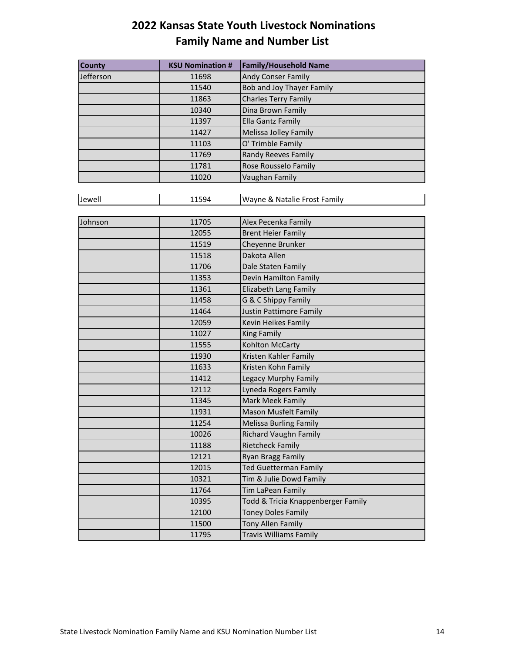| <b>County</b> | <b>KSU Nomination #</b> | <b>Family/Household Name</b>       |
|---------------|-------------------------|------------------------------------|
| Jefferson     | 11698                   | <b>Andy Conser Family</b>          |
|               | 11540                   | Bob and Joy Thayer Family          |
|               | 11863                   | <b>Charles Terry Family</b>        |
|               | 10340                   | Dina Brown Family                  |
|               | 11397                   | <b>Ella Gantz Family</b>           |
|               | 11427                   | Melissa Jolley Family              |
|               | 11103                   | O' Trimble Family                  |
|               | 11769                   | <b>Randy Reeves Family</b>         |
|               | 11781                   | Rose Rousselo Family               |
|               | 11020                   | Vaughan Family                     |
|               |                         |                                    |
| Jewell        | 11594                   | Wayne & Natalie Frost Family       |
|               |                         |                                    |
| Johnson       | 11705                   | Alex Pecenka Family                |
|               | 12055                   | <b>Brent Heier Family</b>          |
|               | 11519                   | Cheyenne Brunker                   |
|               | 11518                   | Dakota Allen                       |
|               | 11706                   | Dale Staten Family                 |
|               | 11353                   | Devin Hamilton Family              |
|               | 11361                   | <b>Elizabeth Lang Family</b>       |
|               | 11458                   | G & C Shippy Family                |
|               | 11464                   | Justin Pattimore Family            |
|               | 12059                   | Kevin Heikes Family                |
|               | 11027                   | <b>King Family</b>                 |
|               | 11555                   | Kohlton McCarty                    |
|               | 11930                   | Kristen Kahler Family              |
|               | 11633                   | Kristen Kohn Family                |
|               | 11412                   | Legacy Murphy Family               |
|               | 12112                   | Lyneda Rogers Family               |
|               | 11345                   | Mark Meek Family                   |
|               | 11931                   | <b>Mason Musfelt Family</b>        |
|               | 11254                   | <b>Melissa Burling Family</b>      |
|               | 10026                   | <b>Richard Vaughn Family</b>       |
|               | 11188                   | <b>Rietcheck Family</b>            |
|               | 12121                   | Ryan Bragg Family                  |
|               | 12015                   | <b>Ted Guetterman Family</b>       |
|               | 10321                   | Tim & Julie Dowd Family            |
|               | 11764                   | Tim LaPean Family                  |
|               | 10395                   | Todd & Tricia Knappenberger Family |
|               | 12100                   | <b>Toney Doles Family</b>          |
|               | 11500                   | <b>Tony Allen Family</b>           |
|               | 11795                   | <b>Travis Williams Family</b>      |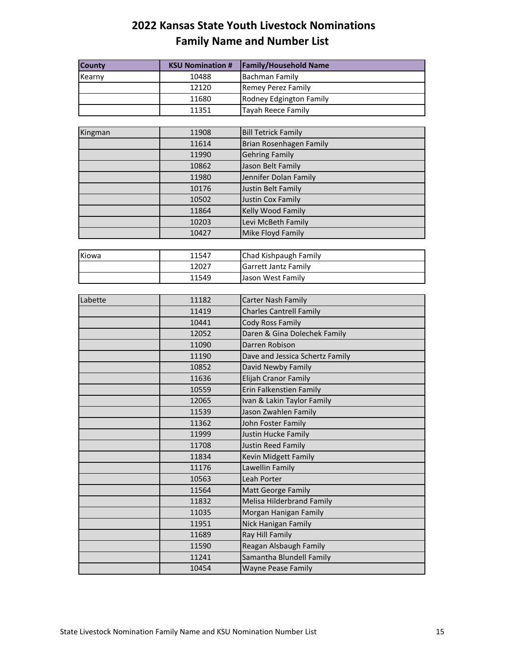| <b>County</b> | <b>KSU Nomination #</b> | <b>Family/Household Name</b>    |
|---------------|-------------------------|---------------------------------|
| Kearny        | 10488                   | <b>Bachman Family</b>           |
|               | 12120                   | Remey Perez Family              |
|               | 11680                   | Rodney Edgington Family         |
|               | 11351                   | Tayah Reece Family              |
|               |                         |                                 |
| Kingman       | 11908                   | <b>Bill Tetrick Family</b>      |
|               | 11614                   | Brian Rosenhagen Family         |
|               | 11990                   | <b>Gehring Family</b>           |
|               | 10862                   | Jason Belt Family               |
|               | 11980                   | Jennifer Dolan Family           |
|               | 10176                   | Justin Belt Family              |
|               | 10502                   | Justin Cox Family               |
|               | 11864                   | Kelly Wood Family               |
|               | 10203                   | Levi McBeth Family              |
|               | 10427                   | Mike Floyd Family               |
|               |                         |                                 |
| Kiowa         | 11547                   | Chad Kishpaugh Family           |
|               | 12027                   | Garrett Jantz Family            |
|               | 11549                   | Jason West Family               |
|               |                         |                                 |
| Labette       | 11182                   | Carter Nash Family              |
|               | 11419                   | <b>Charles Cantrell Family</b>  |
|               | 10441                   | Cody Ross Family                |
|               | 12052                   | Daren & Gina Dolechek Family    |
|               | 11090                   | Darren Robison                  |
|               | 11190                   | Dave and Jessica Schertz Family |
|               | 10852                   | David Newby Family              |
|               | 11636                   | Elijah Cranor Family            |
|               | 10559                   | Erin Falkenstien Family         |
|               | 12065                   | Ivan & Lakin Taylor Family      |
|               | 11539                   | Jason Zwahlen Family            |
|               | 11362                   | John Foster Family              |
|               | 11999                   | Justin Hucke Family             |
|               | 11708                   | Justin Reed Family              |
|               | 11834                   | Kevin Midgett Family            |
|               | 11176                   | Lawellin Family                 |
|               | 10563                   | Leah Porter                     |
|               | 11564                   | <b>Matt George Family</b>       |
|               | 11832                   | Melisa Hilderbrand Family       |
|               | 11035                   | Morgan Hanigan Family           |
|               | 11951                   | Nick Hanigan Family             |
|               | 11689                   | Ray Hill Family                 |
|               | 11590                   | Reagan Alsbaugh Family          |
|               | 11241                   | Samantha Blundell Family        |
|               | 10454                   | <b>Wayne Pease Family</b>       |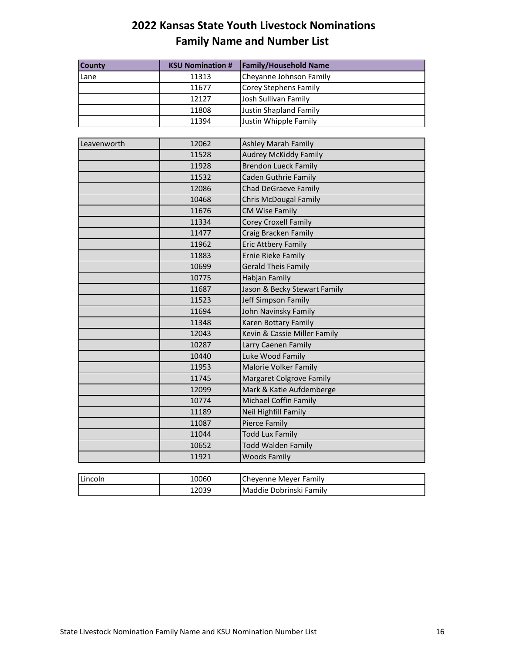| <b>KSU Nomination #</b> | <b>Family/Household Name</b>  |
|-------------------------|-------------------------------|
| 11313                   | Cheyanne Johnson Family       |
| 11677                   | <b>Corey Stephens Family</b>  |
| 12127                   | Josh Sullivan Family          |
| 11808                   | <b>Justin Shapland Family</b> |
| 11394                   | Justin Whipple Family         |
|                         |                               |
| 12062                   | <b>Ashley Marah Family</b>    |
| 11528                   | Audrey McKiddy Family         |
| 11928                   | <b>Brendon Lueck Family</b>   |
| 11532                   | Caden Guthrie Family          |
| 12086                   | Chad DeGraeve Family          |
| 10468                   | <b>Chris McDougal Family</b>  |
| 11676                   | <b>CM Wise Family</b>         |
| 11334                   | <b>Corey Croxell Family</b>   |
| 11477                   | Craig Bracken Family          |
| 11962                   | <b>Eric Attbery Family</b>    |
| 11883                   | Ernie Rieke Family            |
| 10699                   | <b>Gerald Theis Family</b>    |
| 10775                   | Habjan Family                 |
| 11687                   | Jason & Becky Stewart Family  |
| 11523                   | Jeff Simpson Family           |
| 11694                   | John Navinsky Family          |
| 11348                   | Karen Bottary Family          |
| 12043                   | Kevin & Cassie Miller Family  |
| 10287                   | Larry Caenen Family           |
| 10440                   | Luke Wood Family              |
| 11953                   | <b>Malorie Volker Family</b>  |
| 11745                   | Margaret Colgrove Family      |
| 12099                   | Mark & Katie Aufdemberge      |
| 10774                   | Michael Coffin Family         |
| 11189                   | Neil Highfill Family          |
| 11087                   | <b>Pierce Family</b>          |
| 11044                   | <b>Todd Lux Family</b>        |
| 10652                   | <b>Todd Walden Family</b>     |
| 11921                   | <b>Woods Family</b>           |
|                         |                               |

| <b>ILincoln</b> | 10060 | Chevenne Meyer Family            |
|-----------------|-------|----------------------------------|
|                 | 12039 | <b>I</b> Maddie Dobrinski Family |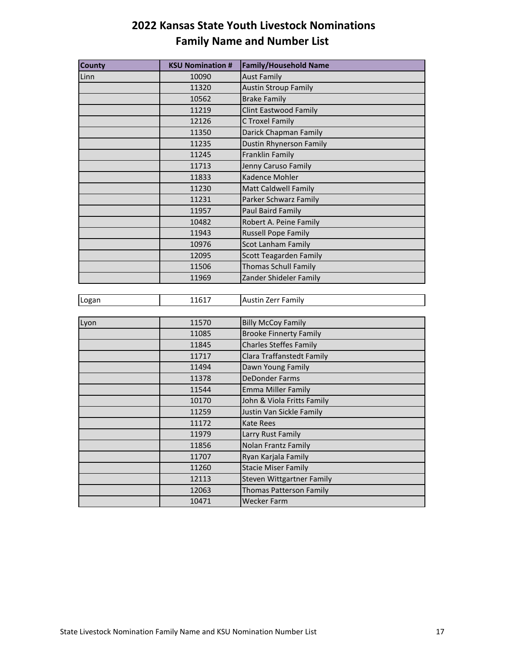| <b>County</b> | <b>KSU Nomination #</b> | <b>Family/Household Name</b>     |
|---------------|-------------------------|----------------------------------|
| Linn          | 10090                   | <b>Aust Family</b>               |
|               | 11320                   | <b>Austin Stroup Family</b>      |
|               | 10562                   | <b>Brake Family</b>              |
|               | 11219                   | Clint Eastwood Family            |
|               | 12126                   | C Troxel Family                  |
|               | 11350                   | Darick Chapman Family            |
|               | 11235                   | Dustin Rhynerson Family          |
|               | 11245                   | Franklin Family                  |
|               | 11713                   | Jenny Caruso Family              |
|               | 11833                   | Kadence Mohler                   |
|               | 11230                   | Matt Caldwell Family             |
|               | 11231                   | Parker Schwarz Family            |
|               | 11957                   | Paul Baird Family                |
|               | 10482                   | Robert A. Peine Family           |
|               | 11943                   | <b>Russell Pope Family</b>       |
|               | 10976                   | Scot Lanham Family               |
|               | 12095                   | <b>Scott Teagarden Family</b>    |
|               | 11506                   | <b>Thomas Schull Family</b>      |
|               | 11969                   | Zander Shideler Family           |
|               |                         |                                  |
| Logan         | 11617                   | <b>Austin Zerr Family</b>        |
|               |                         |                                  |
| Lyon          | 11570                   | <b>Billy McCoy Family</b>        |
|               | 11085                   | <b>Brooke Finnerty Family</b>    |
|               | 11845                   | <b>Charles Steffes Family</b>    |
|               | 11717                   | <b>Clara Traffanstedt Family</b> |
|               | 11494                   | Dawn Young Family                |
|               | 11378                   | <b>DeDonder Farms</b>            |
|               | 11544                   | <b>Emma Miller Family</b>        |
|               | 10170                   | John & Viola Fritts Family       |
|               | 11259                   | Justin Van Sickle Family         |
|               | 11172                   | <b>Kate Rees</b>                 |
|               | 11979                   | Larry Rust Family                |
|               | 11856                   | Nolan Frantz Family              |
|               | 11707                   | Ryan Karjala Family              |
|               | 11260                   | <b>Stacie Miser Family</b>       |
|               | 12113                   | Steven Wittgartner Family        |
|               | 12063                   | Thomas Patterson Family          |
|               | 10471                   | <b>Wecker Farm</b>               |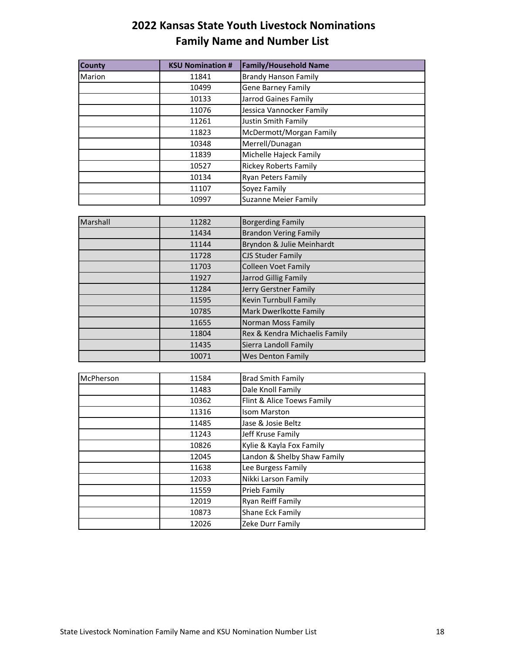| <b>County</b> | <b>KSU Nomination #</b> | <b>Family/Household Name</b>  |
|---------------|-------------------------|-------------------------------|
| Marion        | 11841                   | <b>Brandy Hanson Family</b>   |
|               | 10499                   | <b>Gene Barney Family</b>     |
|               | 10133                   | Jarrod Gaines Family          |
|               | 11076                   | Jessica Vannocker Family      |
|               | 11261                   | Justin Smith Family           |
|               | 11823                   | McDermott/Morgan Family       |
|               | 10348                   | Merrell/Dunagan               |
|               | 11839                   | Michelle Hajeck Family        |
|               | 10527                   | <b>Rickey Roberts Family</b>  |
|               | 10134                   | Ryan Peters Family            |
|               | 11107                   | Soyez Family                  |
|               | 10997                   | <b>Suzanne Meier Family</b>   |
|               |                         |                               |
| Marshall      | 11282                   | <b>Borgerding Family</b>      |
|               | 11434                   | <b>Brandon Vering Family</b>  |
|               | 11144                   | Bryndon & Julie Meinhardt     |
|               | 11728                   | <b>CJS Studer Family</b>      |
|               | 11703                   | <b>Colleen Voet Family</b>    |
|               | 11927                   | Jarrod Gillig Family          |
|               | 11284                   | Jerry Gerstner Family         |
|               | 11595                   | Kevin Turnbull Family         |
|               | 10785                   | Mark Dwerlkotte Family        |
|               | 11655                   | Norman Moss Family            |
|               | 11804                   | Rex & Kendra Michaelis Family |
|               | 11435                   | Sierra Landoll Family         |
|               | 10071                   | <b>Wes Denton Family</b>      |
|               |                         |                               |
| McPherson     | 11584                   | <b>Brad Smith Family</b>      |
|               | 11483                   | Dale Knoll Family             |
|               | 10362                   | Flint & Alice Toews Family    |
|               | 11316                   | <b>Isom Marston</b>           |
|               | 11485                   | Jase & Josie Beltz            |
|               | 11243                   | Jeff Kruse Family             |
|               | 10826                   | Kylie & Kayla Fox Family      |
|               | 12045                   | Landon & Shelby Shaw Family   |
|               | 11638                   | Lee Burgess Family            |
|               | 12033                   | Nikki Larson Family           |
|               | 11559                   | Prieb Family                  |
|               | 12019                   | Ryan Reiff Family             |
|               | 10873                   | Shane Eck Family              |
|               | 12026                   | Zeke Durr Family              |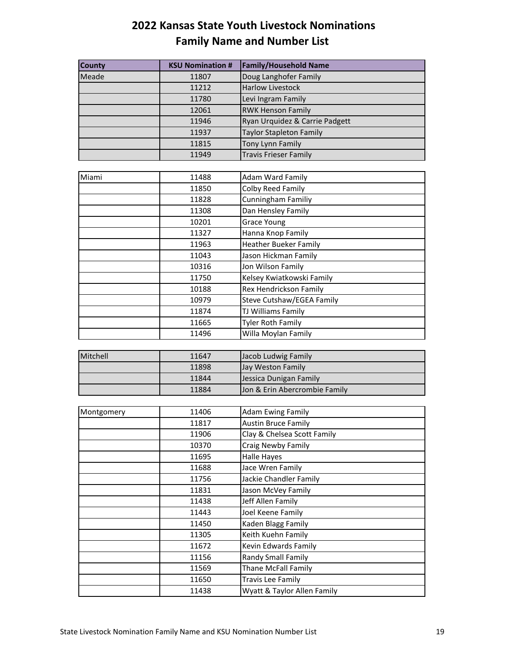| Meade<br>11807<br>Doug Langhofer Family<br>11212<br><b>Harlow Livestock</b><br>11780<br>Levi Ingram Family<br><b>RWK Henson Family</b><br>12061<br>11946<br>Ryan Urquidez & Carrie Padgett<br>11937<br><b>Taylor Stapleton Family</b><br>Tony Lynn Family<br>11815<br><b>Travis Frieser Family</b><br>11949<br>Miami<br>11488<br><b>Adam Ward Family</b><br><b>Colby Reed Family</b><br>11850<br>11828<br>Cunningham Familiy<br>11308<br>Dan Hensley Family<br>10201<br><b>Grace Young</b><br>11327<br>Hanna Knop Family<br><b>Heather Bueker Family</b><br>11963<br>11043<br>Jason Hickman Family<br>10316<br>Jon Wilson Family<br>11750<br>Kelsey Kwiatkowski Family<br>Rex Hendrickson Family<br>10188<br>10979<br>Steve Cutshaw/EGEA Family<br>TJ Williams Family<br>11874<br>11665<br><b>Tyler Roth Family</b><br>Willa Moylan Family<br>11496<br>Mitchell<br>11647<br>Jacob Ludwig Family<br>Jay Weston Family<br>11898<br>Jessica Dunigan Family<br>11844<br>Jon & Erin Abercrombie Family<br>11884<br>11406<br><b>Adam Ewing Family</b><br>Montgomery<br>11817<br><b>Austin Bruce Family</b><br>11906<br>Clay & Chelsea Scott Family<br>Craig Newby Family<br>10370<br>11695<br>Halle Hayes<br>Jace Wren Family<br>11688<br>11756<br>Jackie Chandler Family<br>Jason McVey Family<br>11831<br>Jeff Allen Family<br>11438<br>11443<br>Joel Keene Family<br>11450<br>Kaden Blagg Family<br>11305<br>Keith Kuehn Family<br>11672<br>Kevin Edwards Family<br>11156<br>Randy Small Family<br>Thane McFall Family<br>11569<br><b>Travis Lee Family</b><br>11650 | <b>County</b> | <b>KSU Nomination #</b> | <b>Family/Household Name</b> |
|-------------------------------------------------------------------------------------------------------------------------------------------------------------------------------------------------------------------------------------------------------------------------------------------------------------------------------------------------------------------------------------------------------------------------------------------------------------------------------------------------------------------------------------------------------------------------------------------------------------------------------------------------------------------------------------------------------------------------------------------------------------------------------------------------------------------------------------------------------------------------------------------------------------------------------------------------------------------------------------------------------------------------------------------------------------------------------------------------------------------------------------------------------------------------------------------------------------------------------------------------------------------------------------------------------------------------------------------------------------------------------------------------------------------------------------------------------------------------------------------------------------------------------------------------------------------|---------------|-------------------------|------------------------------|
|                                                                                                                                                                                                                                                                                                                                                                                                                                                                                                                                                                                                                                                                                                                                                                                                                                                                                                                                                                                                                                                                                                                                                                                                                                                                                                                                                                                                                                                                                                                                                                   |               |                         |                              |
|                                                                                                                                                                                                                                                                                                                                                                                                                                                                                                                                                                                                                                                                                                                                                                                                                                                                                                                                                                                                                                                                                                                                                                                                                                                                                                                                                                                                                                                                                                                                                                   |               |                         |                              |
|                                                                                                                                                                                                                                                                                                                                                                                                                                                                                                                                                                                                                                                                                                                                                                                                                                                                                                                                                                                                                                                                                                                                                                                                                                                                                                                                                                                                                                                                                                                                                                   |               |                         |                              |
|                                                                                                                                                                                                                                                                                                                                                                                                                                                                                                                                                                                                                                                                                                                                                                                                                                                                                                                                                                                                                                                                                                                                                                                                                                                                                                                                                                                                                                                                                                                                                                   |               |                         |                              |
|                                                                                                                                                                                                                                                                                                                                                                                                                                                                                                                                                                                                                                                                                                                                                                                                                                                                                                                                                                                                                                                                                                                                                                                                                                                                                                                                                                                                                                                                                                                                                                   |               |                         |                              |
|                                                                                                                                                                                                                                                                                                                                                                                                                                                                                                                                                                                                                                                                                                                                                                                                                                                                                                                                                                                                                                                                                                                                                                                                                                                                                                                                                                                                                                                                                                                                                                   |               |                         |                              |
|                                                                                                                                                                                                                                                                                                                                                                                                                                                                                                                                                                                                                                                                                                                                                                                                                                                                                                                                                                                                                                                                                                                                                                                                                                                                                                                                                                                                                                                                                                                                                                   |               |                         |                              |
|                                                                                                                                                                                                                                                                                                                                                                                                                                                                                                                                                                                                                                                                                                                                                                                                                                                                                                                                                                                                                                                                                                                                                                                                                                                                                                                                                                                                                                                                                                                                                                   |               |                         |                              |
|                                                                                                                                                                                                                                                                                                                                                                                                                                                                                                                                                                                                                                                                                                                                                                                                                                                                                                                                                                                                                                                                                                                                                                                                                                                                                                                                                                                                                                                                                                                                                                   |               |                         |                              |
|                                                                                                                                                                                                                                                                                                                                                                                                                                                                                                                                                                                                                                                                                                                                                                                                                                                                                                                                                                                                                                                                                                                                                                                                                                                                                                                                                                                                                                                                                                                                                                   |               |                         |                              |
|                                                                                                                                                                                                                                                                                                                                                                                                                                                                                                                                                                                                                                                                                                                                                                                                                                                                                                                                                                                                                                                                                                                                                                                                                                                                                                                                                                                                                                                                                                                                                                   |               |                         |                              |
|                                                                                                                                                                                                                                                                                                                                                                                                                                                                                                                                                                                                                                                                                                                                                                                                                                                                                                                                                                                                                                                                                                                                                                                                                                                                                                                                                                                                                                                                                                                                                                   |               |                         |                              |
|                                                                                                                                                                                                                                                                                                                                                                                                                                                                                                                                                                                                                                                                                                                                                                                                                                                                                                                                                                                                                                                                                                                                                                                                                                                                                                                                                                                                                                                                                                                                                                   |               |                         |                              |
|                                                                                                                                                                                                                                                                                                                                                                                                                                                                                                                                                                                                                                                                                                                                                                                                                                                                                                                                                                                                                                                                                                                                                                                                                                                                                                                                                                                                                                                                                                                                                                   |               |                         |                              |
|                                                                                                                                                                                                                                                                                                                                                                                                                                                                                                                                                                                                                                                                                                                                                                                                                                                                                                                                                                                                                                                                                                                                                                                                                                                                                                                                                                                                                                                                                                                                                                   |               |                         |                              |
|                                                                                                                                                                                                                                                                                                                                                                                                                                                                                                                                                                                                                                                                                                                                                                                                                                                                                                                                                                                                                                                                                                                                                                                                                                                                                                                                                                                                                                                                                                                                                                   |               |                         |                              |
|                                                                                                                                                                                                                                                                                                                                                                                                                                                                                                                                                                                                                                                                                                                                                                                                                                                                                                                                                                                                                                                                                                                                                                                                                                                                                                                                                                                                                                                                                                                                                                   |               |                         |                              |
|                                                                                                                                                                                                                                                                                                                                                                                                                                                                                                                                                                                                                                                                                                                                                                                                                                                                                                                                                                                                                                                                                                                                                                                                                                                                                                                                                                                                                                                                                                                                                                   |               |                         |                              |
|                                                                                                                                                                                                                                                                                                                                                                                                                                                                                                                                                                                                                                                                                                                                                                                                                                                                                                                                                                                                                                                                                                                                                                                                                                                                                                                                                                                                                                                                                                                                                                   |               |                         |                              |
|                                                                                                                                                                                                                                                                                                                                                                                                                                                                                                                                                                                                                                                                                                                                                                                                                                                                                                                                                                                                                                                                                                                                                                                                                                                                                                                                                                                                                                                                                                                                                                   |               |                         |                              |
|                                                                                                                                                                                                                                                                                                                                                                                                                                                                                                                                                                                                                                                                                                                                                                                                                                                                                                                                                                                                                                                                                                                                                                                                                                                                                                                                                                                                                                                                                                                                                                   |               |                         |                              |
|                                                                                                                                                                                                                                                                                                                                                                                                                                                                                                                                                                                                                                                                                                                                                                                                                                                                                                                                                                                                                                                                                                                                                                                                                                                                                                                                                                                                                                                                                                                                                                   |               |                         |                              |
|                                                                                                                                                                                                                                                                                                                                                                                                                                                                                                                                                                                                                                                                                                                                                                                                                                                                                                                                                                                                                                                                                                                                                                                                                                                                                                                                                                                                                                                                                                                                                                   |               |                         |                              |
|                                                                                                                                                                                                                                                                                                                                                                                                                                                                                                                                                                                                                                                                                                                                                                                                                                                                                                                                                                                                                                                                                                                                                                                                                                                                                                                                                                                                                                                                                                                                                                   |               |                         |                              |
|                                                                                                                                                                                                                                                                                                                                                                                                                                                                                                                                                                                                                                                                                                                                                                                                                                                                                                                                                                                                                                                                                                                                                                                                                                                                                                                                                                                                                                                                                                                                                                   |               |                         |                              |
|                                                                                                                                                                                                                                                                                                                                                                                                                                                                                                                                                                                                                                                                                                                                                                                                                                                                                                                                                                                                                                                                                                                                                                                                                                                                                                                                                                                                                                                                                                                                                                   |               |                         |                              |
|                                                                                                                                                                                                                                                                                                                                                                                                                                                                                                                                                                                                                                                                                                                                                                                                                                                                                                                                                                                                                                                                                                                                                                                                                                                                                                                                                                                                                                                                                                                                                                   |               |                         |                              |
|                                                                                                                                                                                                                                                                                                                                                                                                                                                                                                                                                                                                                                                                                                                                                                                                                                                                                                                                                                                                                                                                                                                                                                                                                                                                                                                                                                                                                                                                                                                                                                   |               |                         |                              |
|                                                                                                                                                                                                                                                                                                                                                                                                                                                                                                                                                                                                                                                                                                                                                                                                                                                                                                                                                                                                                                                                                                                                                                                                                                                                                                                                                                                                                                                                                                                                                                   |               |                         |                              |
|                                                                                                                                                                                                                                                                                                                                                                                                                                                                                                                                                                                                                                                                                                                                                                                                                                                                                                                                                                                                                                                                                                                                                                                                                                                                                                                                                                                                                                                                                                                                                                   |               |                         |                              |
|                                                                                                                                                                                                                                                                                                                                                                                                                                                                                                                                                                                                                                                                                                                                                                                                                                                                                                                                                                                                                                                                                                                                                                                                                                                                                                                                                                                                                                                                                                                                                                   |               |                         |                              |
|                                                                                                                                                                                                                                                                                                                                                                                                                                                                                                                                                                                                                                                                                                                                                                                                                                                                                                                                                                                                                                                                                                                                                                                                                                                                                                                                                                                                                                                                                                                                                                   |               |                         |                              |
|                                                                                                                                                                                                                                                                                                                                                                                                                                                                                                                                                                                                                                                                                                                                                                                                                                                                                                                                                                                                                                                                                                                                                                                                                                                                                                                                                                                                                                                                                                                                                                   |               |                         |                              |
|                                                                                                                                                                                                                                                                                                                                                                                                                                                                                                                                                                                                                                                                                                                                                                                                                                                                                                                                                                                                                                                                                                                                                                                                                                                                                                                                                                                                                                                                                                                                                                   |               |                         |                              |
|                                                                                                                                                                                                                                                                                                                                                                                                                                                                                                                                                                                                                                                                                                                                                                                                                                                                                                                                                                                                                                                                                                                                                                                                                                                                                                                                                                                                                                                                                                                                                                   |               |                         |                              |
|                                                                                                                                                                                                                                                                                                                                                                                                                                                                                                                                                                                                                                                                                                                                                                                                                                                                                                                                                                                                                                                                                                                                                                                                                                                                                                                                                                                                                                                                                                                                                                   |               |                         |                              |
|                                                                                                                                                                                                                                                                                                                                                                                                                                                                                                                                                                                                                                                                                                                                                                                                                                                                                                                                                                                                                                                                                                                                                                                                                                                                                                                                                                                                                                                                                                                                                                   |               |                         |                              |
|                                                                                                                                                                                                                                                                                                                                                                                                                                                                                                                                                                                                                                                                                                                                                                                                                                                                                                                                                                                                                                                                                                                                                                                                                                                                                                                                                                                                                                                                                                                                                                   |               |                         |                              |
|                                                                                                                                                                                                                                                                                                                                                                                                                                                                                                                                                                                                                                                                                                                                                                                                                                                                                                                                                                                                                                                                                                                                                                                                                                                                                                                                                                                                                                                                                                                                                                   |               |                         |                              |
|                                                                                                                                                                                                                                                                                                                                                                                                                                                                                                                                                                                                                                                                                                                                                                                                                                                                                                                                                                                                                                                                                                                                                                                                                                                                                                                                                                                                                                                                                                                                                                   |               |                         |                              |
|                                                                                                                                                                                                                                                                                                                                                                                                                                                                                                                                                                                                                                                                                                                                                                                                                                                                                                                                                                                                                                                                                                                                                                                                                                                                                                                                                                                                                                                                                                                                                                   |               |                         |                              |
|                                                                                                                                                                                                                                                                                                                                                                                                                                                                                                                                                                                                                                                                                                                                                                                                                                                                                                                                                                                                                                                                                                                                                                                                                                                                                                                                                                                                                                                                                                                                                                   |               |                         |                              |
|                                                                                                                                                                                                                                                                                                                                                                                                                                                                                                                                                                                                                                                                                                                                                                                                                                                                                                                                                                                                                                                                                                                                                                                                                                                                                                                                                                                                                                                                                                                                                                   |               |                         |                              |
|                                                                                                                                                                                                                                                                                                                                                                                                                                                                                                                                                                                                                                                                                                                                                                                                                                                                                                                                                                                                                                                                                                                                                                                                                                                                                                                                                                                                                                                                                                                                                                   |               |                         |                              |
|                                                                                                                                                                                                                                                                                                                                                                                                                                                                                                                                                                                                                                                                                                                                                                                                                                                                                                                                                                                                                                                                                                                                                                                                                                                                                                                                                                                                                                                                                                                                                                   |               |                         |                              |
|                                                                                                                                                                                                                                                                                                                                                                                                                                                                                                                                                                                                                                                                                                                                                                                                                                                                                                                                                                                                                                                                                                                                                                                                                                                                                                                                                                                                                                                                                                                                                                   |               |                         |                              |
|                                                                                                                                                                                                                                                                                                                                                                                                                                                                                                                                                                                                                                                                                                                                                                                                                                                                                                                                                                                                                                                                                                                                                                                                                                                                                                                                                                                                                                                                                                                                                                   |               | 11438                   | Wyatt & Taylor Allen Family  |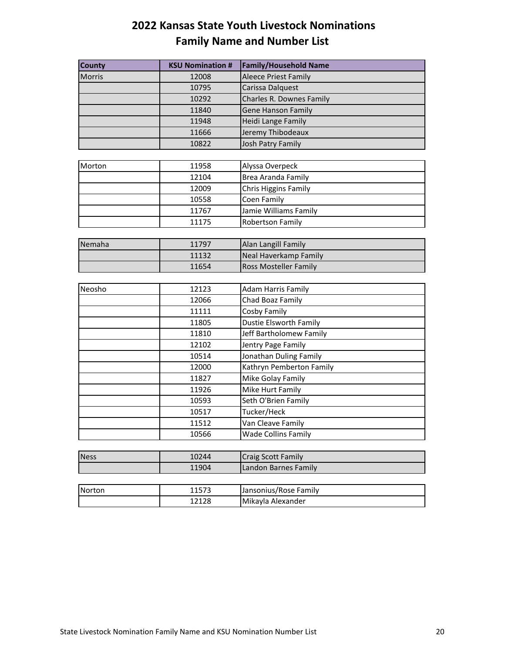| <b>County</b> | <b>KSU Nomination #</b> | <b>Family/Household Name</b> |
|---------------|-------------------------|------------------------------|
| <b>Morris</b> | 12008                   | <b>Aleece Priest Family</b>  |
|               | 10795                   | Carissa Dalquest             |
|               | 10292                   | Charles R. Downes Family     |
|               | 11840                   | Gene Hanson Family           |
|               | 11948                   | Heidi Lange Family           |
|               | 11666                   | Jeremy Thibodeaux            |
|               | 10822                   | <b>Josh Patry Family</b>     |
|               |                         |                              |
| Morton        | 11958                   | Alyssa Overpeck              |
|               | 12104                   | Brea Aranda Family           |
|               | 12009                   | Chris Higgins Family         |
|               | 10558                   | Coen Family                  |
|               | 11767                   | Jamie Williams Family        |
|               | 11175                   | Robertson Family             |
|               |                         |                              |
| Nemaha        | 11797                   | Alan Langill Family          |
|               | 11132                   | Neal Haverkamp Family        |
|               | 11654                   | <b>Ross Mosteller Family</b> |
|               |                         |                              |
| Neosho        | 12123                   | <b>Adam Harris Family</b>    |
|               | 12066                   | Chad Boaz Family             |
|               | 11111                   | Cosby Family                 |
|               | 11805                   | Dustie Elsworth Family       |
|               | 11810                   | Jeff Bartholomew Family      |
|               | 12102                   | Jentry Page Family           |
|               | 10514                   | Jonathan Duling Family       |
|               | 12000                   | Kathryn Pemberton Family     |
|               | 11827                   | Mike Golay Family            |
|               | 11926                   | Mike Hurt Family             |
|               | 10593                   | Seth O'Brien Family          |
|               | 10517                   | Tucker/Heck                  |
|               | 11512                   | Van Cleave Family            |
|               | 10566                   | <b>Wade Collins Family</b>   |
|               |                         |                              |
| <b>Ness</b>   | 10244                   | Craig Scott Family           |
|               | 11904                   | Landon Barnes Family         |
|               |                         |                              |
| Norton        | 11573                   | Jansonius/Rose Family        |
|               | 12128                   | Mikayla Alexander            |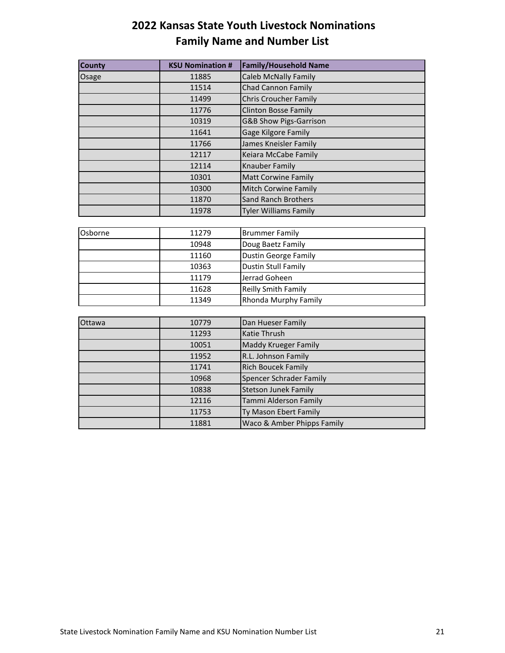| <b>County</b> | <b>KSU Nomination #</b> | <b>Family/Household Name</b>      |
|---------------|-------------------------|-----------------------------------|
| Osage         | 11885                   | <b>Caleb McNally Family</b>       |
|               | 11514                   | Chad Cannon Family                |
|               | 11499                   | <b>Chris Croucher Family</b>      |
|               | 11776                   | <b>Clinton Bosse Family</b>       |
|               | 10319                   | <b>G&amp;B Show Pigs-Garrison</b> |
|               | 11641                   | Gage Kilgore Family               |
|               | 11766                   | James Kneisler Family             |
|               | 12117                   | Keiara McCabe Family              |
|               | 12114                   | Knauber Family                    |
|               | 10301                   | <b>Matt Corwine Family</b>        |
|               | 10300                   | <b>Mitch Corwine Family</b>       |
|               | 11870                   | <b>Sand Ranch Brothers</b>        |
|               | 11978                   | <b>Tyler Williams Family</b>      |
|               |                         |                                   |
| Osborne       | 11279                   | <b>Brummer Family</b>             |
|               | 10948                   | Doug Baetz Family                 |
|               | 11160                   | <b>Dustin George Family</b>       |
|               | 10363                   | <b>Dustin Stull Family</b>        |
|               | 11179                   | Jerrad Goheen                     |
|               | 11628                   | Reilly Smith Family               |
|               | 11349                   | Rhonda Murphy Family              |
|               |                         |                                   |
| Ottawa        | 10779                   | Dan Hueser Family                 |
|               | 11293                   | <b>Katie Thrush</b>               |
|               | 10051                   | Maddy Krueger Family              |
|               | 11952                   | R.L. Johnson Family               |
|               | 11741                   | Rich Boucek Family                |
|               | 10968                   | Spencer Schrader Family           |
|               | 10838                   | <b>Stetson Junek Family</b>       |
|               | 12116                   | Tammi Alderson Family             |
|               | 11753                   | Ty Mason Ebert Family             |
|               | 11881                   | Waco & Amber Phipps Family        |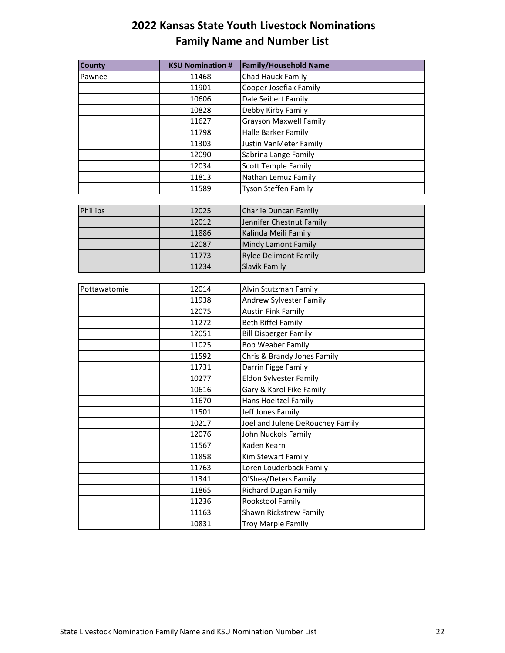| <b>County</b> | <b>KSU Nomination #</b> | <b>Family/Household Name</b>     |
|---------------|-------------------------|----------------------------------|
| Pawnee        | 11468                   | Chad Hauck Family                |
|               | 11901                   | Cooper Josefiak Family           |
|               | 10606                   | Dale Seibert Family              |
|               | 10828                   | Debby Kirby Family               |
|               | 11627                   | <b>Grayson Maxwell Family</b>    |
|               | 11798                   | Halle Barker Family              |
|               | 11303                   | Justin VanMeter Family           |
|               | 12090                   | Sabrina Lange Family             |
|               | 12034                   | <b>Scott Temple Family</b>       |
|               | 11813                   | Nathan Lemuz Family              |
|               | 11589                   | Tyson Steffen Family             |
|               |                         |                                  |
| Phillips      | 12025                   | Charlie Duncan Family            |
|               | 12012                   | Jennifer Chestnut Family         |
|               | 11886                   | Kalinda Meili Family             |
|               | 12087                   | Mindy Lamont Family              |
|               | 11773                   | <b>Rylee Delimont Family</b>     |
|               | 11234                   | Slavik Family                    |
|               |                         |                                  |
| Pottawatomie  | 12014                   | Alvin Stutzman Family            |
|               | 11938                   | Andrew Sylvester Family          |
|               | 12075                   | <b>Austin Fink Family</b>        |
|               | 11272                   | <b>Beth Riffel Family</b>        |
|               | 12051                   | <b>Bill Disberger Family</b>     |
|               | 11025                   | <b>Bob Weaber Family</b>         |
|               | 11592                   | Chris & Brandy Jones Family      |
|               | 11731                   | Darrin Figge Family              |
|               | 10277                   | Eldon Sylvester Family           |
|               | 10616                   | Gary & Karol Fike Family         |
|               | 11670                   | Hans Hoeltzel Family             |
|               | 11501                   | Jeff Jones Family                |
|               | 10217                   | Joel and Julene DeRouchey Family |
|               | 12076                   | John Nuckols Family              |
|               | 11567                   | Kaden Kearn                      |
|               | 11858                   | Kim Stewart Family               |
|               | 11763                   | Loren Louderback Family          |
|               | 11341                   | O'Shea/Deters Family             |
|               | 11865                   | <b>Richard Dugan Family</b>      |
|               | 11236                   | Rookstool Family                 |
|               | 11163                   | Shawn Rickstrew Family           |
|               | 10831                   | <b>Troy Marple Family</b>        |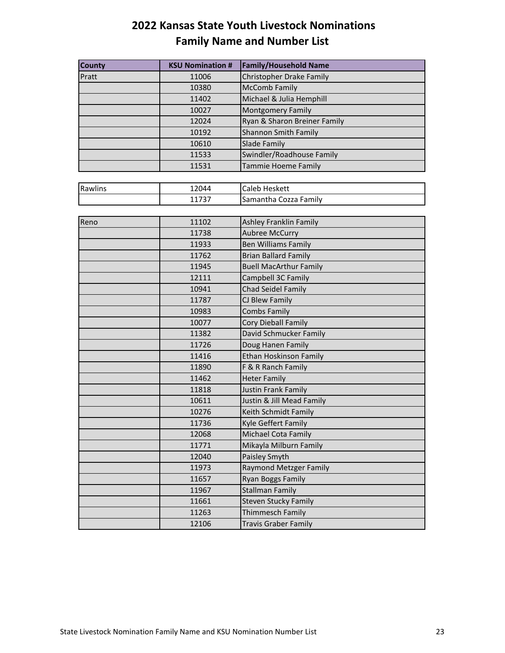| <b>County</b> | <b>KSU Nomination #</b> | <b>Family/Household Name</b>  |
|---------------|-------------------------|-------------------------------|
| Pratt         | 11006                   | Christopher Drake Family      |
|               | 10380                   | <b>McComb Family</b>          |
|               | 11402                   | Michael & Julia Hemphill      |
|               | 10027                   | <b>Montgomery Family</b>      |
|               | 12024                   | Ryan & Sharon Breiner Family  |
|               | 10192                   | Shannon Smith Family          |
|               | 10610                   | Slade Family                  |
|               | 11533                   | Swindler/Roadhouse Family     |
|               | 11531                   | Tammie Hoeme Family           |
|               |                         |                               |
| Rawlins       | 12044                   | Caleb Heskett                 |
|               | 11737                   | Samantha Cozza Family         |
|               |                         |                               |
| Reno          | 11102                   | Ashley Franklin Family        |
|               | 11738                   | <b>Aubree McCurry</b>         |
|               | 11933                   | <b>Ben Williams Family</b>    |
|               | 11762                   | <b>Brian Ballard Family</b>   |
|               | 11945                   | <b>Buell MacArthur Family</b> |
|               | 12111                   | Campbell 3C Family            |
|               | 10941                   | Chad Seidel Family            |
|               | 11787                   | CJ Blew Family                |
|               | 10983                   | <b>Combs Family</b>           |
|               | 10077                   | Cory Dieball Family           |
|               | 11382                   | David Schmucker Family        |
|               | 11726                   | Doug Hanen Family             |
|               | 11416                   | Ethan Hoskinson Family        |
|               | 11890                   | F & R Ranch Family            |
|               | 11462                   | <b>Heter Family</b>           |
|               | 11818                   | Justin Frank Family           |
|               | 10611                   | Justin & Jill Mead Family     |
|               | 10276                   | Keith Schmidt Family          |
|               | 11736                   | Kyle Geffert Family           |
|               | 12068                   | Michael Cota Family           |
|               | 11771                   | Mikayla Milburn Family        |
|               | 12040                   | Paisley Smyth                 |
|               | 11973                   | Raymond Metzger Family        |
|               | 11657                   | <b>Ryan Boggs Family</b>      |
|               | 11967                   | <b>Stallman Family</b>        |
|               | 11661                   | <b>Steven Stucky Family</b>   |
|               | 11263                   | Thimmesch Family              |
|               | 12106                   | <b>Travis Graber Family</b>   |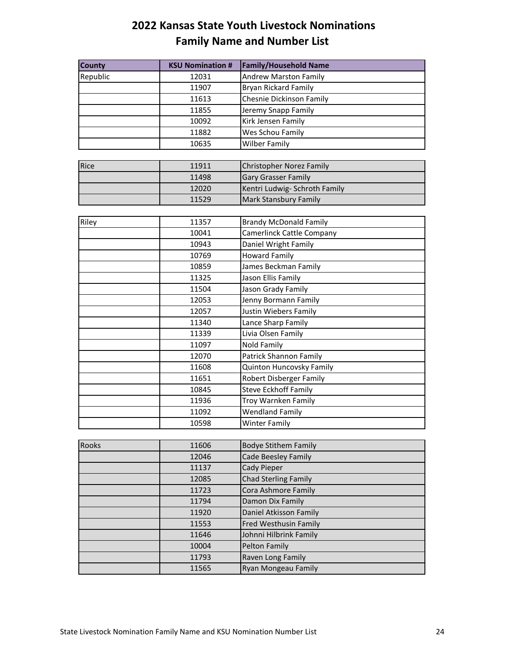| <b>County</b> | <b>KSU Nomination #</b> | <b>Family/Household Name</b>     |
|---------------|-------------------------|----------------------------------|
| Republic      | 12031                   | <b>Andrew Marston Family</b>     |
|               | 11907                   | <b>Bryan Rickard Family</b>      |
|               | 11613                   | Chesnie Dickinson Family         |
|               | 11855                   | Jeremy Snapp Family              |
|               | 10092                   | Kirk Jensen Family               |
|               | 11882                   | Wes Schou Family                 |
|               | 10635                   | <b>Wilber Family</b>             |
|               |                         |                                  |
| Rice          | 11911                   | Christopher Norez Family         |
|               | 11498                   | <b>Gary Grasser Family</b>       |
|               | 12020                   | Kentri Ludwig- Schroth Family    |
|               | 11529                   | Mark Stansbury Family            |
|               |                         |                                  |
| Riley         | 11357                   | <b>Brandy McDonald Family</b>    |
|               | 10041                   | <b>Camerlinck Cattle Company</b> |
|               | 10943                   | Daniel Wright Family             |
|               | 10769                   | <b>Howard Family</b>             |
|               | 10859                   | James Beckman Family             |
|               | 11325                   | Jason Ellis Family               |
|               | 11504                   | Jason Grady Family               |
|               | 12053                   | Jenny Bormann Family             |
|               | 12057                   | Justin Wiebers Family            |
|               | 11340                   | Lance Sharp Family               |
|               | 11339                   | Livia Olsen Family               |
|               | 11097                   | <b>Nold Family</b>               |
|               | 12070                   | Patrick Shannon Family           |
|               | 11608                   | Quinton Huncovsky Family         |
|               | 11651                   | Robert Disberger Family          |
|               | 10845                   | Steve Eckhoff Family             |
|               | 11936                   | Troy Warnken Family              |
|               | 11092                   | <b>Wendland Family</b>           |
|               | 10598                   | <b>Winter Family</b>             |
|               |                         |                                  |
| Rooks         | 11606                   | <b>Bodye Stithem Family</b>      |
|               | 12046                   | Cade Beesley Family              |
|               | 11137                   | Cady Pieper                      |
|               | 12085                   | <b>Chad Sterling Family</b>      |
|               | 11723                   | Cora Ashmore Family              |
|               | 11794                   | Damon Dix Family                 |
|               | 11920                   | Daniel Atkisson Family           |
|               | 11553                   | Fred Westhusin Family            |
|               | 11646                   | Johnni Hilbrink Family           |
|               | 10004                   | <b>Pelton Family</b>             |
|               | 11793                   | Raven Long Family                |
|               | 11565                   | Ryan Mongeau Family              |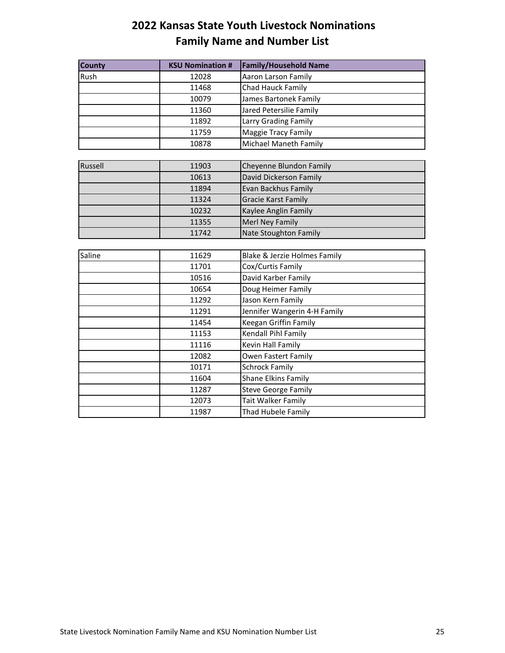| <b>County</b> | <b>KSU Nomination #</b> | <b>Family/Household Name</b> |
|---------------|-------------------------|------------------------------|
| Rush          | 12028                   | Aaron Larson Family          |
|               | 11468                   | Chad Hauck Family            |
|               | 10079                   | James Bartonek Family        |
|               | 11360                   | Jared Petersilie Family      |
|               | 11892                   | Larry Grading Family         |
|               | 11759                   | Maggie Tracy Family          |
|               | 10878                   | Michael Maneth Family        |
|               |                         |                              |
| Russell       | 11903                   | Cheyenne Blundon Family      |
|               | 10613                   | David Dickerson Family       |
|               | 11894                   | Evan Backhus Family          |
|               | 11324                   | <b>Gracie Karst Family</b>   |
|               | 10232                   | Kaylee Anglin Family         |
|               | 11355                   | Merl Ney Family              |
|               | 11742                   | Nate Stoughton Family        |
|               |                         |                              |
| Saline        | 11629                   | Blake & Jerzie Holmes Family |
|               | 11701                   | Cox/Curtis Family            |
|               | 10516                   | David Karber Family          |
|               | 10654                   | Doug Heimer Family           |
|               | 11292                   | Jason Kern Family            |
|               | 11291                   | Jennifer Wangerin 4-H Family |
|               | 11454                   | Keegan Griffin Family        |
|               | 11153                   | Kendall Pihl Family          |
|               | 11116                   | Kevin Hall Family            |
|               | 12082                   | Owen Fastert Family          |
|               | 10171                   | <b>Schrock Family</b>        |
|               | 11604                   | Shane Elkins Family          |
|               | 11287                   | <b>Steve George Family</b>   |
|               | 12073                   | Tait Walker Family           |
|               | 11987                   | Thad Hubele Family           |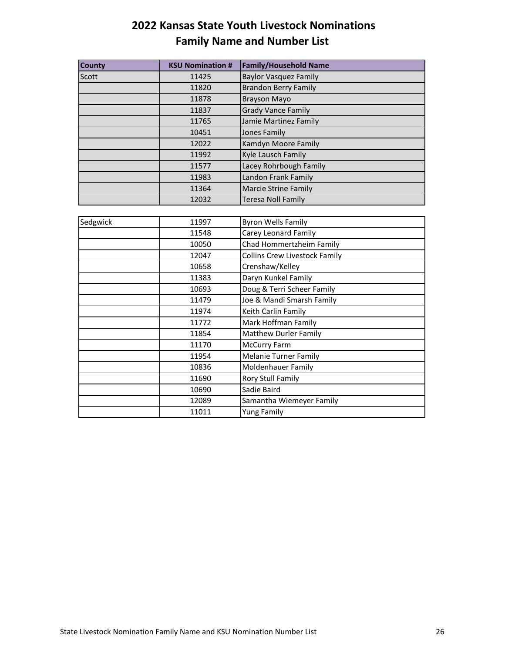| <b>County</b> | <b>KSU Nomination #</b> | <b>Family/Household Name</b>         |
|---------------|-------------------------|--------------------------------------|
| Scott         | 11425                   | <b>Baylor Vasquez Family</b>         |
|               | 11820                   | <b>Brandon Berry Family</b>          |
|               | 11878                   | <b>Brayson Mayo</b>                  |
|               | 11837                   | <b>Grady Vance Family</b>            |
|               | 11765                   | Jamie Martinez Family                |
|               | 10451                   | Jones Family                         |
|               | 12022                   | Kamdyn Moore Family                  |
|               | 11992                   | Kyle Lausch Family                   |
|               | 11577                   | Lacey Rohrbough Family               |
|               | 11983                   | Landon Frank Family                  |
|               | 11364                   | <b>Marcie Strine Family</b>          |
|               | 12032                   | <b>Teresa Noll Family</b>            |
|               |                         |                                      |
| Sedgwick      | 11997                   | <b>Byron Wells Family</b>            |
|               | 11548                   | Carey Leonard Family                 |
|               | 10050                   | Chad Hommertzheim Family             |
|               | 12047                   | <b>Collins Crew Livestock Family</b> |
|               | 10658                   | Crenshaw/Kelley                      |
|               | 11383                   | Daryn Kunkel Family                  |
|               | 10693                   | Doug & Terri Scheer Family           |
|               | 11479                   | Joe & Mandi Smarsh Family            |
|               | 11974                   | Keith Carlin Family                  |
|               | 11772                   | Mark Hoffman Family                  |
|               | 11854                   | <b>Matthew Durler Family</b>         |
|               | 11170                   | <b>McCurry Farm</b>                  |
|               | 11954                   | <b>Melanie Turner Family</b>         |
|               | 10836                   | <b>Moldenhauer Family</b>            |
|               | 11690                   | Rory Stull Family                    |
|               | 10690                   | Sadie Baird                          |
|               | 12089                   | Samantha Wiemeyer Family             |
|               | 11011                   | <b>Yung Family</b>                   |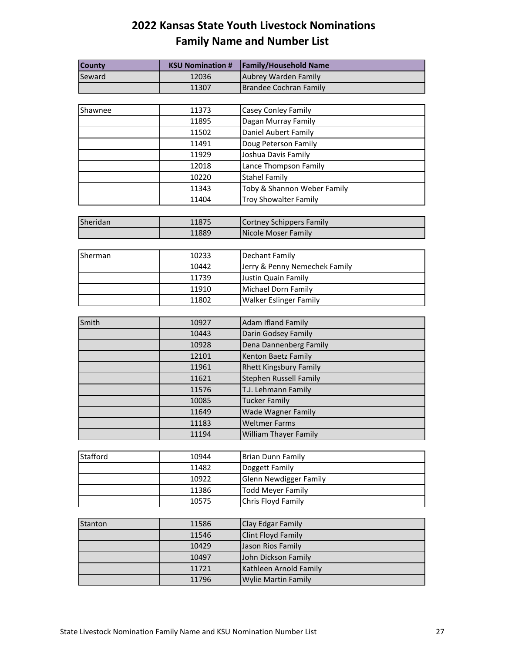| <b>County</b> | <b>KSU Nomination #</b> | <b>Family/Household Name</b>    |
|---------------|-------------------------|---------------------------------|
| Seward        | 12036                   | Aubrey Warden Family            |
|               | 11307                   | <b>Brandee Cochran Family</b>   |
|               |                         |                                 |
| Shawnee       | 11373                   | Casey Conley Family             |
|               | 11895                   | Dagan Murray Family             |
|               | 11502                   | Daniel Aubert Family            |
|               | 11491                   | Doug Peterson Family            |
|               | 11929                   | Joshua Davis Family             |
|               | 12018                   | Lance Thompson Family           |
|               | 10220                   | <b>Stahel Family</b>            |
|               | 11343                   | Toby & Shannon Weber Family     |
|               | 11404                   | <b>Troy Showalter Family</b>    |
|               |                         |                                 |
| Sheridan      | 11875                   | <b>Cortney Schippers Family</b> |
|               | 11889                   | Nicole Moser Family             |
|               |                         |                                 |
| Sherman       | 10233                   | Dechant Family                  |
|               | 10442                   | Jerry & Penny Nemechek Family   |
|               | 11739                   | Justin Quain Family             |
|               | 11910                   | Michael Dorn Family             |
|               | 11802                   | <b>Walker Eslinger Family</b>   |
|               |                         |                                 |
| Smith         | 10927                   | <b>Adam Ifland Family</b>       |
|               | 10443                   | Darin Godsey Family             |
|               | 10928                   | Dena Dannenberg Family          |
|               | 12101                   | Kenton Baetz Family             |
|               | 11961                   | <b>Rhett Kingsbury Family</b>   |
|               | 11621                   | <b>Stephen Russell Family</b>   |
|               | 11576                   | T.J. Lehmann Family             |
|               | 10085                   | <b>Tucker Family</b>            |
|               | 11649                   | <b>Wade Wagner Family</b>       |
|               | 11183                   | <b>Weltmer Farms</b>            |
|               | 11194                   | William Thayer Family           |
|               |                         |                                 |
| Stafford      | 10944                   | <b>Brian Dunn Family</b>        |
|               | 11482                   | Doggett Family                  |
|               | 10922                   | <b>Glenn Newdigger Family</b>   |
|               | 11386                   | <b>Todd Meyer Family</b>        |
|               | 10575                   | Chris Floyd Family              |
|               |                         |                                 |
| Stanton       | 11586                   | Clay Edgar Family               |
|               | 11546                   | Clint Floyd Family              |
|               | 10429                   | Jason Rios Family               |
|               | 10497                   | John Dickson Family             |
|               | 11721                   | Kathleen Arnold Family          |
|               | 11796                   | <b>Wylie Martin Family</b>      |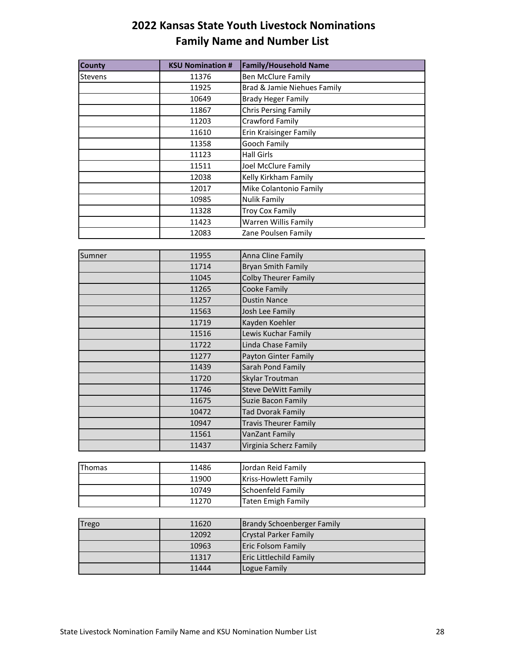| <b>County</b>  | <b>KSU Nomination #</b> | <b>Family/Household Name</b> |
|----------------|-------------------------|------------------------------|
| <b>Stevens</b> | 11376                   | Ben McClure Family           |
|                | 11925                   | Brad & Jamie Niehues Family  |
|                | 10649                   | <b>Brady Heger Family</b>    |
|                | 11867                   | <b>Chris Persing Family</b>  |
|                | 11203                   | Crawford Family              |
|                | 11610                   | Erin Kraisinger Family       |
|                | 11358                   | Gooch Family                 |
|                | 11123                   | <b>Hall Girls</b>            |
|                | 11511                   | Joel McClure Family          |
|                | 12038                   | Kelly Kirkham Family         |
|                | 12017                   | Mike Colantonio Family       |
|                | 10985                   | <b>Nulik Family</b>          |
|                | 11328                   | <b>Troy Cox Family</b>       |
|                | 11423                   | Warren Willis Family         |
|                | 12083                   | Zane Poulsen Family          |

| Sumner | 11955 | Anna Cline Family            |
|--------|-------|------------------------------|
|        | 11714 | <b>Bryan Smith Family</b>    |
|        | 11045 | <b>Colby Theurer Family</b>  |
|        | 11265 | Cooke Family                 |
|        | 11257 | <b>Dustin Nance</b>          |
|        | 11563 | Josh Lee Family              |
|        | 11719 | Kayden Koehler               |
|        | 11516 | Lewis Kuchar Family          |
|        | 11722 | Linda Chase Family           |
|        | 11277 | Payton Ginter Family         |
|        | 11439 | Sarah Pond Family            |
|        | 11720 | Skylar Troutman              |
|        | 11746 | <b>Steve DeWitt Family</b>   |
|        | 11675 | Suzie Bacon Family           |
|        | 10472 | <b>Tad Dvorak Family</b>     |
|        | 10947 | <b>Travis Theurer Family</b> |
|        | 11561 | VanZant Family               |
|        | 11437 | Virginia Scherz Family       |

| <b>Thomas</b> | 11486 | Jordan Reid Family          |
|---------------|-------|-----------------------------|
|               | 11900 | <b>Kriss-Howlett Family</b> |
|               | 10749 | Schoenfeld Family           |
|               | 11270 | Taten Emigh Family          |

| <b>Trego</b> | 11620 | Brandy Schoenberger Family     |
|--------------|-------|--------------------------------|
|              | 12092 | Crystal Parker Family          |
|              | 10963 | <b>Eric Folsom Family</b>      |
|              | 11317 | <b>Eric Littlechild Family</b> |
|              | 11444 | Logue Family                   |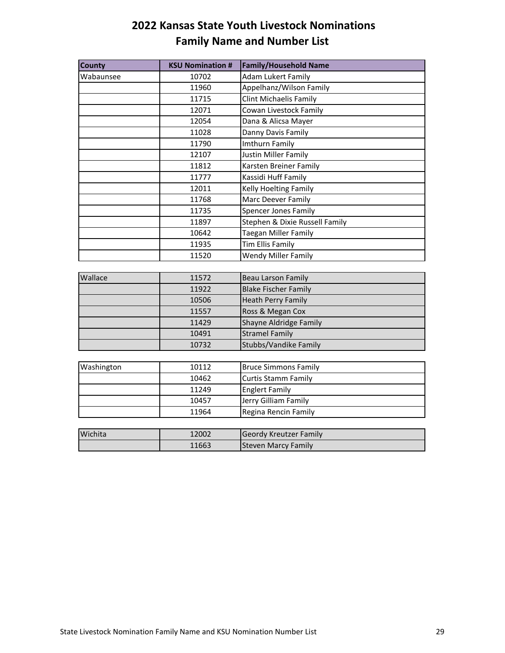| <b>County</b> | <b>KSU Nomination #</b> | <b>Family/Household Name</b>   |
|---------------|-------------------------|--------------------------------|
| Wabaunsee     | 10702                   | <b>Adam Lukert Family</b>      |
|               | 11960                   | Appelhanz/Wilson Family        |
|               | 11715                   | <b>Clint Michaelis Family</b>  |
|               | 12071                   | Cowan Livestock Family         |
|               | 12054                   | Dana & Alicsa Mayer            |
|               | 11028                   | Danny Davis Family             |
|               | 11790                   | Imthurn Family                 |
|               | 12107                   | Justin Miller Family           |
|               | 11812                   | Karsten Breiner Family         |
|               | 11777                   | Kassidi Huff Family            |
|               | 12011                   | Kelly Hoelting Family          |
|               | 11768                   | Marc Deever Family             |
|               | 11735                   | <b>Spencer Jones Family</b>    |
|               | 11897                   | Stephen & Dixie Russell Family |
|               | 10642                   | <b>Taegan Miller Family</b>    |
|               | 11935                   | Tim Ellis Family               |
|               | 11520                   | Wendy Miller Family            |
|               |                         |                                |
| Wallace       | 11572                   | <b>Beau Larson Family</b>      |
|               | 11922                   | <b>Blake Fischer Family</b>    |
|               | 10506                   | <b>Heath Perry Family</b>      |
|               | 11557                   | Ross & Megan Cox               |
|               | 11429                   | Shayne Aldridge Family         |
|               | 10491                   | <b>Stramel Family</b>          |
|               | 10732                   | Stubbs/Vandike Family          |
|               |                         |                                |
| Washington    | 10112                   | <b>Bruce Simmons Family</b>    |
|               | 10462                   | <b>Curtis Stamm Family</b>     |
|               | 11249                   | <b>Englert Family</b>          |
|               | 10457                   | Jerry Gilliam Family           |
|               | 11964                   | Regina Rencin Family           |
| Wichita       | 12002                   | <b>Geordy Kreutzer Family</b>  |
|               | 11663                   | <b>Steven Marcy Family</b>     |
|               |                         |                                |